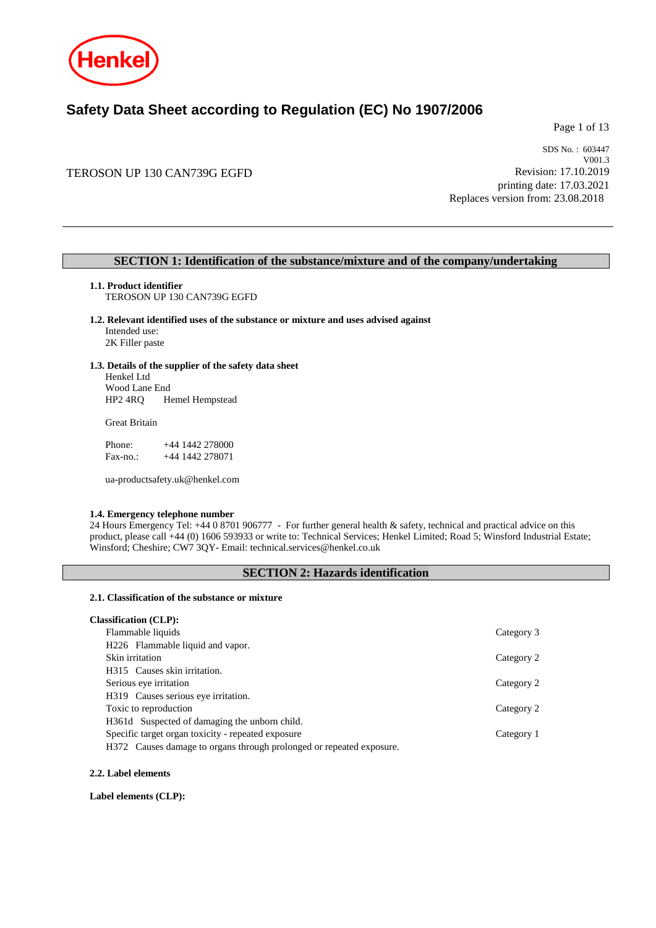

# **Safety Data Sheet according to Regulation (EC) No 1907/2006**

Page 1 of 13

# TEROSON UP 130 CAN739G EGFD

SDS No. : 603447 V001.3 Revision: 17.10.2019 printing date: 17.03.2021 Replaces version from: 23.08.2018

# **SECTION 1: Identification of the substance/mixture and of the company/undertaking**

**1.1. Product identifier** TEROSON UP 130 CAN739G EGFD

# **1.2. Relevant identified uses of the substance or mixture and uses advised against**

Intended use: 2K Filler paste

#### **1.3. Details of the supplier of the safety data sheet**

Henkel Ltd Wood Lane End HP2 4RQ Hemel Hempstead

Great Britain

Phone: +44 1442 278000 Fax-no.: +44 1442 278071

ua-productsafety.uk@henkel.com

### **1.4. Emergency telephone number**

24 Hours Emergency Tel: +44 0 8701 906777 - For further general health & safety, technical and practical advice on this product, please call +44 (0) 1606 593933 or write to: Technical Services; Henkel Limited; Road 5; Winsford Industrial Estate; Winsford; Cheshire; CW7 3QY- Email: technical.services@henkel.co.uk

# **SECTION 2: Hazards identification**

### **2.1. Classification of the substance or mixture**

# **Classification (CLP):**

| Flammable liquids                                                    | Category 3 |
|----------------------------------------------------------------------|------------|
| H226 Flammable liquid and vapor.                                     |            |
| Skin irritation                                                      | Category 2 |
| H315 Causes skin irritation.                                         |            |
| Serious eye irritation                                               | Category 2 |
| H319 Causes serious eye irritation.                                  |            |
| Toxic to reproduction                                                | Category 2 |
| H361d Suspected of damaging the unborn child.                        |            |
| Specific target organ toxicity - repeated exposure                   | Category 1 |
| H372 Causes damage to organs through prolonged or repeated exposure. |            |
|                                                                      |            |

#### **2.2. Label elements**

**Label elements (CLP):**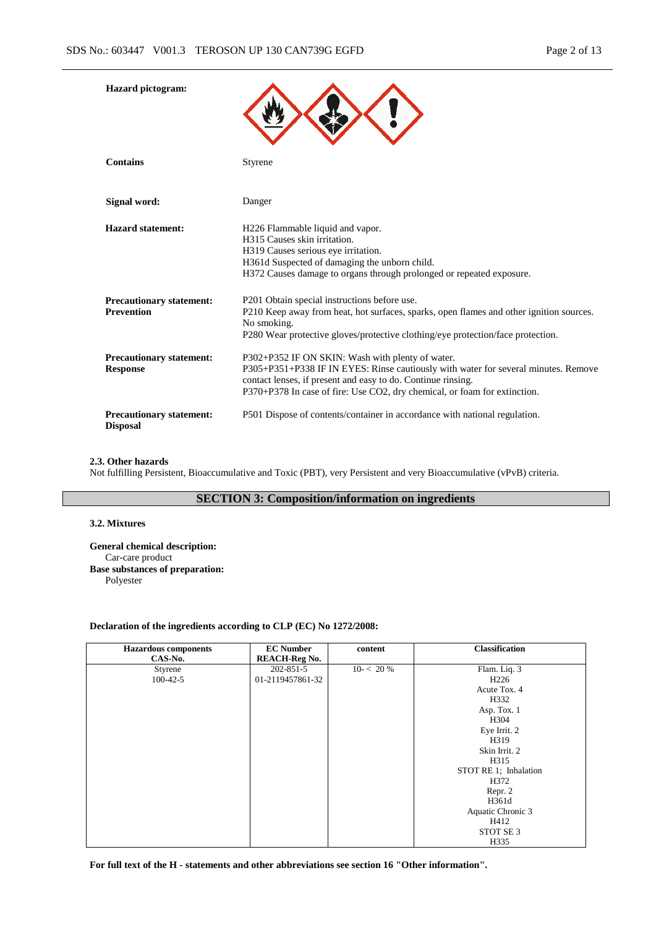| <b>Hazard</b> pictogram:                             |                                                                                                                                                                                                                                                                                     |
|------------------------------------------------------|-------------------------------------------------------------------------------------------------------------------------------------------------------------------------------------------------------------------------------------------------------------------------------------|
| <b>Contains</b>                                      | <b>Styrene</b>                                                                                                                                                                                                                                                                      |
| Signal word:                                         | Danger                                                                                                                                                                                                                                                                              |
| <b>Hazard statement:</b>                             | H226 Flammable liquid and vapor.<br>H315 Causes skin irritation.<br>H319 Causes serious eye irritation.<br>H361d Suspected of damaging the unborn child.<br>H372 Causes damage to organs through prolonged or repeated exposure.                                                    |
| <b>Precautionary statement:</b><br><b>Prevention</b> | P201 Obtain special instructions before use.<br>P210 Keep away from heat, hot surfaces, sparks, open flames and other ignition sources.<br>No smoking.<br>P280 Wear protective gloves/protective clothing/eye protection/face protection.                                           |
| <b>Precautionary statement:</b><br><b>Response</b>   | P302+P352 IF ON SKIN: Wash with plenty of water.<br>P305+P351+P338 IF IN EYES: Rinse cautiously with water for several minutes. Remove<br>contact lenses, if present and easy to do. Continue rinsing.<br>P370+P378 In case of fire: Use CO2, dry chemical, or foam for extinction. |
| <b>Precautionary statement:</b><br><b>Disposal</b>   | P501 Dispose of contents/container in accordance with national regulation.                                                                                                                                                                                                          |

### **2.3. Other hazards**

Not fulfilling Persistent, Bioaccumulative and Toxic (PBT), very Persistent and very Bioaccumulative (vPvB) criteria.

# **SECTION 3: Composition/information on ingredients**

### **3.2. Mixtures**

**General chemical description:** Car-care product **Base substances of preparation:** Polyester

### **Declaration of the ingredients according to CLP (EC) No 1272/2008:**

| <b>Hazardous components</b> | <b>EC Number</b>     | content    | Classification        |
|-----------------------------|----------------------|------------|-----------------------|
| CAS-No.                     | <b>REACH-Reg No.</b> |            |                       |
| Styrene                     | 202-851-5            | $10 - 20%$ | Flam. Liq. 3          |
| $100 - 42 - 5$              | 01-2119457861-32     |            | H <sub>226</sub>      |
|                             |                      |            | Acute Tox. 4          |
|                             |                      |            | H332                  |
|                             |                      |            | Asp. Tox. 1           |
|                             |                      |            | H304                  |
|                             |                      |            | Eye Irrit. 2          |
|                             |                      |            | H319                  |
|                             |                      |            | Skin Irrit. 2         |
|                             |                      |            | H315                  |
|                             |                      |            | STOT RE 1; Inhalation |
|                             |                      |            | H372                  |
|                             |                      |            | Repr. 2               |
|                             |                      |            | H361d                 |
|                             |                      |            | Aquatic Chronic 3     |
|                             |                      |            | H412                  |
|                             |                      |            | STOT SE <sub>3</sub>  |
|                             |                      |            | H335                  |

**For full text of the H - statements and other abbreviations see section 16 "Other information".**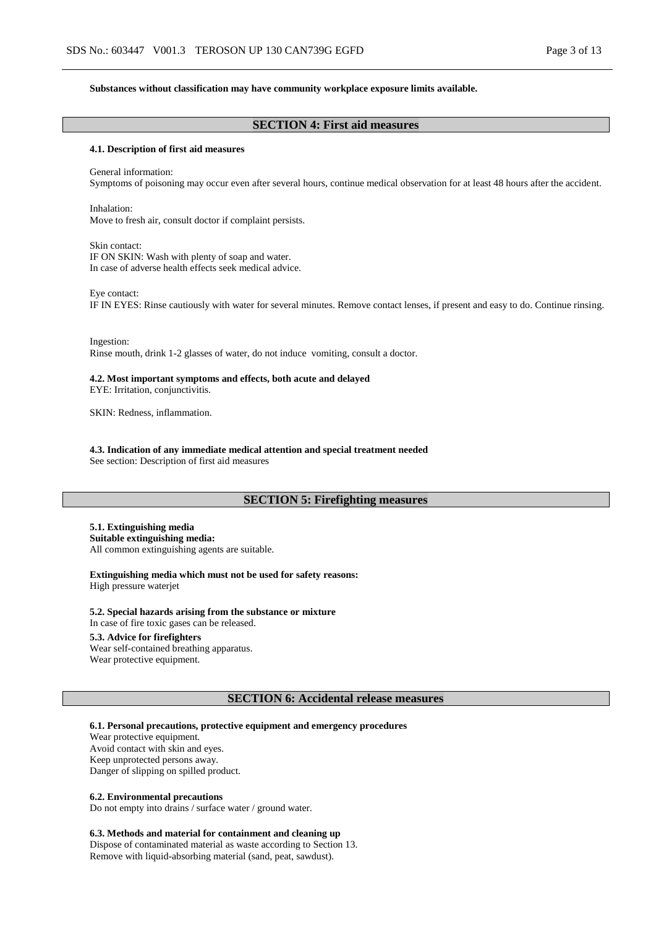#### **Substances without classification may have community workplace exposure limits available.**

# **SECTION 4: First aid measures**

### **4.1. Description of first aid measures**

General information: Symptoms of poisoning may occur even after several hours, continue medical observation for at least 48 hours after the accident.

Inhalation: Move to fresh air, consult doctor if complaint persists.

Skin contact: IF ON SKIN: Wash with plenty of soap and water. In case of adverse health effects seek medical advice.

Eye contact:

IF IN EYES: Rinse cautiously with water for several minutes. Remove contact lenses, if present and easy to do. Continue rinsing.

Ingestion: Rinse mouth, drink 1-2 glasses of water, do not induce vomiting, consult a doctor.

### **4.2. Most important symptoms and effects, both acute and delayed**

EYE: Irritation, conjunctivitis.

SKIN: Redness, inflammation.

**4.3. Indication of any immediate medical attention and special treatment needed**

See section: Description of first aid measures

### **SECTION 5: Firefighting measures**

**5.1. Extinguishing media Suitable extinguishing media:** All common extinguishing agents are suitable.

**Extinguishing media which must not be used for safety reasons:** High pressure waterjet

**5.2. Special hazards arising from the substance or mixture** In case of fire toxic gases can be released.

#### **5.3. Advice for firefighters**

Wear self-contained breathing apparatus. Wear protective equipment.

#### **SECTION 6: Accidental release measures**

**6.1. Personal precautions, protective equipment and emergency procedures**

Wear protective equipment. Avoid contact with skin and eyes. Keep unprotected persons away. Danger of slipping on spilled product.

#### **6.2. Environmental precautions**

Do not empty into drains / surface water / ground water.

#### **6.3. Methods and material for containment and cleaning up**

Dispose of contaminated material as waste according to Section 13. Remove with liquid-absorbing material (sand, peat, sawdust).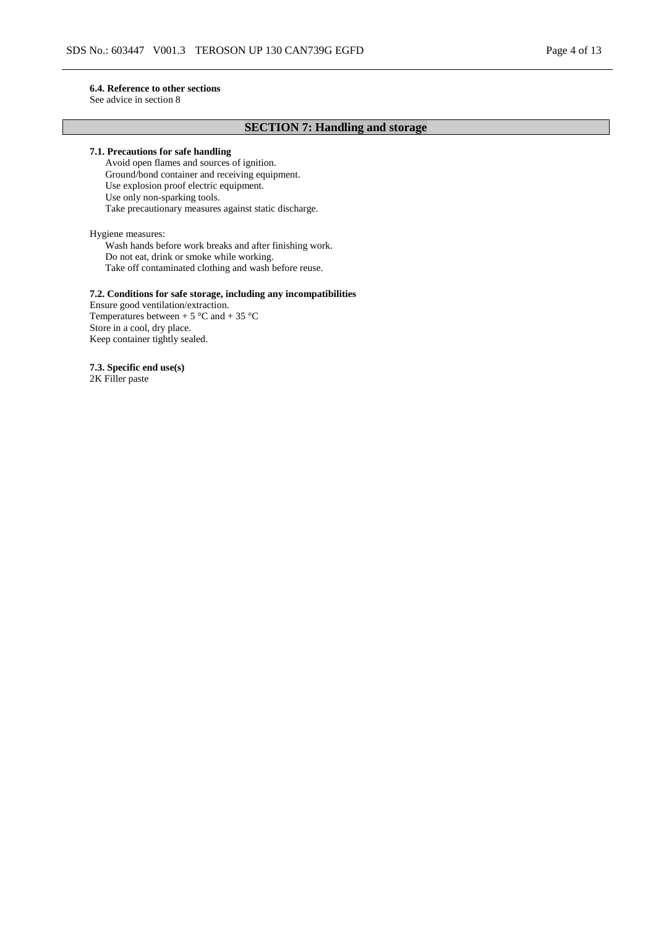#### **6.4. Reference to other sections**

See advice in section 8

# **SECTION 7: Handling and storage**

### **7.1. Precautions for safe handling**

Avoid open flames and sources of ignition. Ground/bond container and receiving equipment. Use explosion proof electric equipment. Use only non-sparking tools. Take precautionary measures against static discharge.

Hygiene measures:

Wash hands before work breaks and after finishing work. Do not eat, drink or smoke while working. Take off contaminated clothing and wash before reuse.

### **7.2. Conditions for safe storage, including any incompatibilities**

Ensure good ventilation/extraction. Temperatures between  $+ 5$  °C and  $+ 35$  °C Store in a cool, dry place. Keep container tightly sealed.

**7.3. Specific end use(s)** 2K Filler paste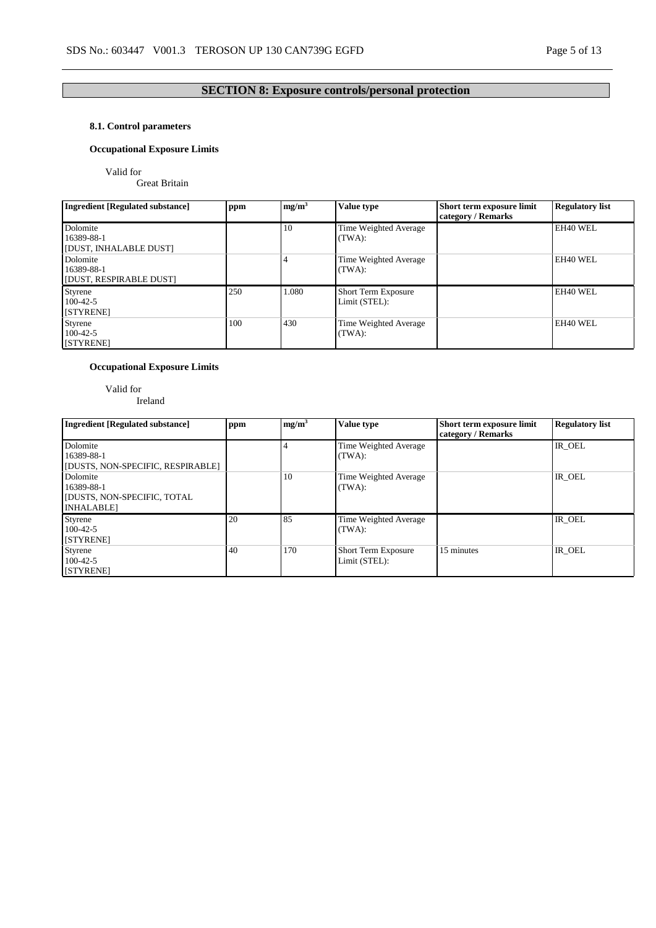# **8.1. Control parameters**

# **Occupational Exposure Limits**

Valid for

Great Britain

| <b>Ingredient [Regulated substance]</b>           | ppm | mg/m <sup>3</sup> | Value type                           | Short term exposure limit<br>category / Remarks | <b>Regulatory list</b> |
|---------------------------------------------------|-----|-------------------|--------------------------------------|-------------------------------------------------|------------------------|
| Dolomite<br>16389-88-1<br>[DUST, INHALABLE DUST]  |     | 10                | Time Weighted Average<br>(TWA):      |                                                 | EH40 WEL               |
| Dolomite<br>16389-88-1<br>[DUST, RESPIRABLE DUST] |     |                   | Time Weighted Average<br>(TWA):      |                                                 | EH40 WEL               |
| Styrene<br>$100-42-5$<br>[STYRENE]                | 250 | 1.080             | Short Term Exposure<br>Limit (STEL): |                                                 | EH40 WEL               |
| Styrene<br>$100-42-5$<br>[STYRENE]                | 100 | 430               | Time Weighted Average<br>(TWA):      |                                                 | EH40 WEL               |

# **Occupational Exposure Limits**

Valid for Ireland

| <b>Ingredient [Regulated substance]</b>                                          | ppm | mg/m <sup>3</sup> | Value type                                  | Short term exposure limit<br>category / Remarks | <b>Regulatory list</b> |
|----------------------------------------------------------------------------------|-----|-------------------|---------------------------------------------|-------------------------------------------------|------------------------|
| Dolomite<br>16389-88-1<br>[DUSTS, NON-SPECIFIC, RESPIRABLE]                      |     |                   | Time Weighted Average<br>(TWA):             |                                                 | IR OEL                 |
| Dolomite<br>16389-88-1<br><b>IDUSTS, NON-SPECIFIC, TOTAL</b><br><b>INHALABLE</b> |     | 10                | Time Weighted Average<br>(TWA):             |                                                 | IR OEL                 |
| Styrene<br>$100-42-5$<br><b>STYRENEI</b>                                         | 20  | 85                | Time Weighted Average<br>(TWA):             |                                                 | IR OEL                 |
| Styrene<br>$100-42-5$<br>[STYRENE]                                               | 40  | 170               | <b>Short Term Exposure</b><br>Limit (STEL): | 15 minutes                                      | IR OEL                 |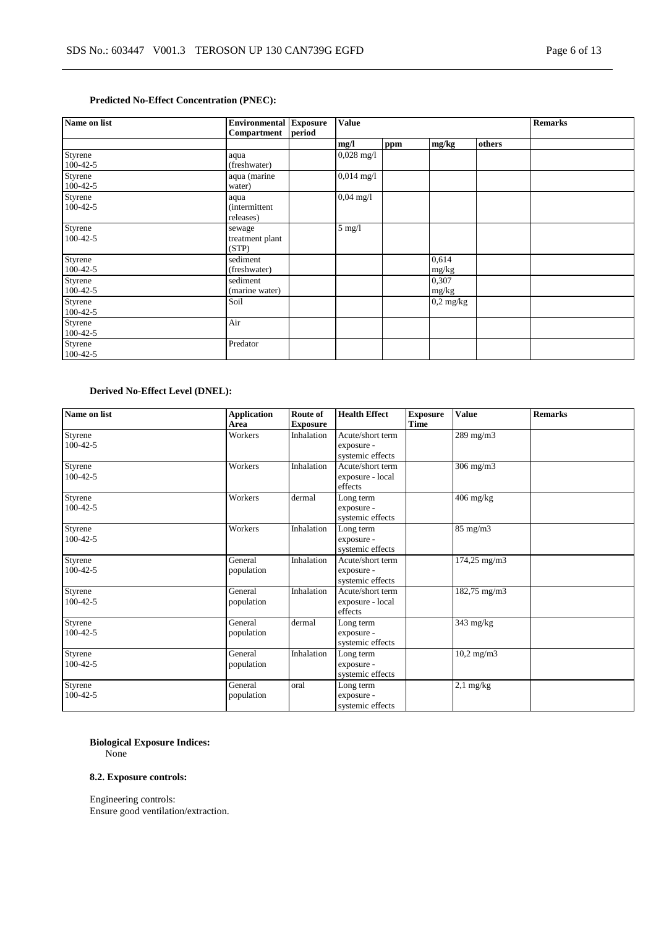# **Predicted No-Effect Concentration (PNEC):**

| Name on list              | <b>Environmental Exposure</b><br>Compartment | period | <b>Value</b>         |     |                     |        | <b>Remarks</b> |
|---------------------------|----------------------------------------------|--------|----------------------|-----|---------------------|--------|----------------|
|                           |                                              |        | mg/l                 | ppm | mg/kg               | others |                |
| Styrene<br>$100-42-5$     | aqua<br>(freshwater)                         |        | $0,028$ mg/l         |     |                     |        |                |
| Styrene<br>$100-42-5$     | aqua (marine<br>water)                       |        | $0,014 \text{ mg}/1$ |     |                     |        |                |
| Styrene<br>$100 - 42 - 5$ | aqua<br><i>(intermittent)</i><br>releases)   |        | $0,04 \text{ mg}/1$  |     |                     |        |                |
| Styrene<br>$100 - 42 - 5$ | sewage<br>treatment plant<br>(STP)           |        | $5 \text{ mg}/1$     |     |                     |        |                |
| Styrene<br>$100-42-5$     | sediment<br>(freshwater)                     |        |                      |     | 0,614<br>mg/kg      |        |                |
| Styrene<br>$100-42-5$     | sediment<br>(marine water)                   |        |                      |     | 0,307<br>mg/kg      |        |                |
| Styrene<br>$100-42-5$     | Soil                                         |        |                      |     | $0.2 \text{ mg/kg}$ |        |                |
| Styrene<br>$100 - 42 - 5$ | Air                                          |        |                      |     |                     |        |                |
| Styrene<br>$100-42-5$     | Predator                                     |        |                      |     |                     |        |                |

# **Derived No-Effect Level (DNEL):**

| Name on list              | <b>Application</b><br>Area | Route of<br><b>Exposure</b> | <b>Health Effect</b>                               | <b>Exposure</b><br><b>Time</b> | <b>Value</b>          | <b>Remarks</b> |
|---------------------------|----------------------------|-----------------------------|----------------------------------------------------|--------------------------------|-----------------------|----------------|
| Styrene<br>$100 - 42 - 5$ | Workers                    | Inhalation                  | Acute/short term<br>exposure -<br>systemic effects |                                | 289 mg/m3             |                |
| Styrene<br>$100-42-5$     | Workers                    | Inhalation                  | Acute/short term<br>exposure - local<br>effects    |                                | $306$ mg/m $3$        |                |
| Styrene<br>$100 - 42 - 5$ | Workers                    | dermal                      | Long term<br>exposure -<br>systemic effects        |                                | $406$ mg/kg           |                |
| Styrene<br>$100 - 42 - 5$ | Workers                    | Inhalation                  | Long term<br>exposure -<br>systemic effects        |                                | $85$ mg/m $3$         |                |
| Styrene<br>$100 - 42 - 5$ | General<br>population      | Inhalation                  | Acute/short term<br>exposure -<br>systemic effects |                                | 174,25 mg/m3          |                |
| Styrene<br>$100 - 42 - 5$ | General<br>population      | Inhalation                  | Acute/short term<br>exposure - local<br>effects    |                                | 182,75 mg/m3          |                |
| Styrene<br>$100 - 42 - 5$ | General<br>population      | dermal                      | Long term<br>exposure -<br>systemic effects        |                                | $343$ mg/kg           |                |
| Styrene<br>$100 - 42 - 5$ | General<br>population      | Inhalation                  | Long term<br>exposure -<br>systemic effects        |                                | $10,2 \text{ mg/m}$ 3 |                |
| Styrene<br>$100 - 42 - 5$ | General<br>population      | oral                        | Long term<br>exposure -<br>systemic effects        |                                | $2,1$ mg/kg           |                |

# **Biological Exposure Indices:**

None

### **8.2. Exposure controls:**

Engineering controls: Ensure good ventilation/extraction.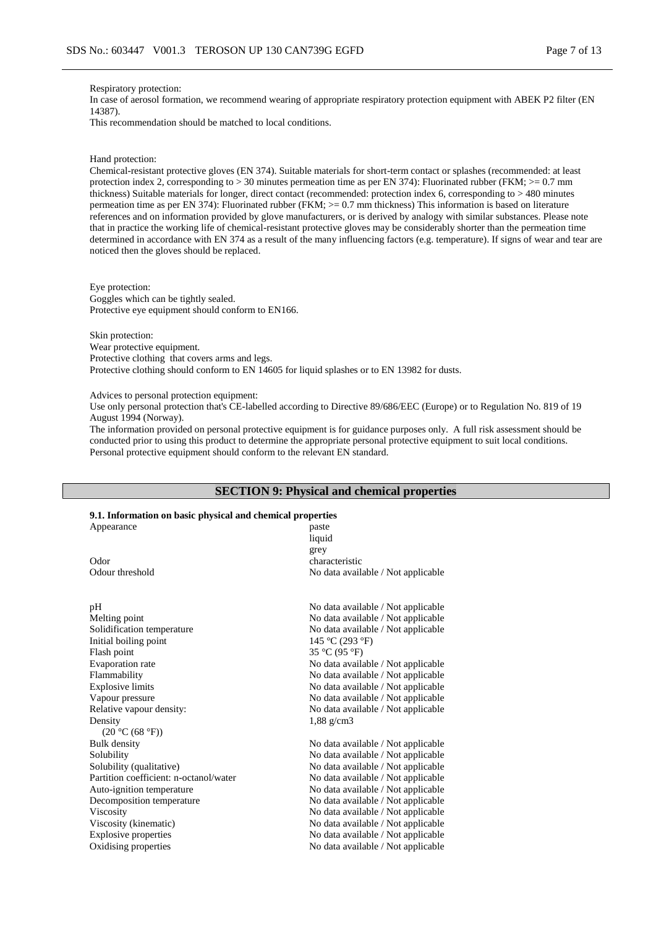#### Respiratory protection:

In case of aerosol formation, we recommend wearing of appropriate respiratory protection equipment with ABEK P2 filter (EN 14387).

This recommendation should be matched to local conditions.

#### Hand protection:

Chemical-resistant protective gloves (EN 374). Suitable materials for short-term contact or splashes (recommended: at least protection index 2, corresponding to > 30 minutes permeation time as per EN 374): Fluorinated rubber (FKM; >= 0.7 mm thickness) Suitable materials for longer, direct contact (recommended: protection index 6, corresponding to > 480 minutes permeation time as per EN 374): Fluorinated rubber (FKM; >= 0.7 mm thickness) This information is based on literature references and on information provided by glove manufacturers, or is derived by analogy with similar substances. Please note that in practice the working life of chemical-resistant protective gloves may be considerably shorter than the permeation time determined in accordance with EN 374 as a result of the many influencing factors (e.g. temperature). If signs of wear and tear are noticed then the gloves should be replaced.

Eye protection: Goggles which can be tightly sealed. Protective eye equipment should conform to EN166.

Skin protection: Wear protective equipment. Protective clothing that covers arms and legs. Protective clothing should conform to EN 14605 for liquid splashes or to EN 13982 for dusts.

Advices to personal protection equipment:

Use only personal protection that's CE-labelled according to Directive 89/686/EEC (Europe) or to Regulation No. 819 of 19 August 1994 (Norway).

The information provided on personal protective equipment is for guidance purposes only. A full risk assessment should be conducted prior to using this product to determine the appropriate personal protective equipment to suit local conditions. Personal protective equipment should conform to the relevant EN standard.

#### **SECTION 9: Physical and chemical properties**

#### **9.1. Information on basic physical and chemical properties**

| 9.1. Information on basic physical and chemical properties |                                    |  |  |  |  |  |
|------------------------------------------------------------|------------------------------------|--|--|--|--|--|
| Appearance                                                 | paste                              |  |  |  |  |  |
|                                                            | liquid                             |  |  |  |  |  |
|                                                            | grey                               |  |  |  |  |  |
| Odor                                                       | characteristic                     |  |  |  |  |  |
| Odour threshold                                            | No data available / Not applicable |  |  |  |  |  |
| pH                                                         | No data available / Not applicable |  |  |  |  |  |
| Melting point                                              | No data available / Not applicable |  |  |  |  |  |
| Solidification temperature                                 | No data available / Not applicable |  |  |  |  |  |
| Initial boiling point                                      | 145 °C (293 °F)                    |  |  |  |  |  |
| Flash point                                                | 35 °C (95 °F)                      |  |  |  |  |  |
| Evaporation rate                                           | No data available / Not applicable |  |  |  |  |  |
| Flammability                                               | No data available / Not applicable |  |  |  |  |  |
| <b>Explosive limits</b>                                    | No data available / Not applicable |  |  |  |  |  |
| Vapour pressure                                            | No data available / Not applicable |  |  |  |  |  |
| Relative vapour density:                                   | No data available / Not applicable |  |  |  |  |  |
| Density                                                    | $1,88$ g/cm3                       |  |  |  |  |  |
| (20 °C (68 °F))                                            |                                    |  |  |  |  |  |
| <b>Bulk</b> density                                        | No data available / Not applicable |  |  |  |  |  |
| Solubility                                                 | No data available / Not applicable |  |  |  |  |  |
| Solubility (qualitative)                                   | No data available / Not applicable |  |  |  |  |  |
| Partition coefficient: n-octanol/water                     | No data available / Not applicable |  |  |  |  |  |
| Auto-ignition temperature                                  | No data available / Not applicable |  |  |  |  |  |
| Decomposition temperature                                  | No data available / Not applicable |  |  |  |  |  |
| Viscosity                                                  | No data available / Not applicable |  |  |  |  |  |
| Viscosity (kinematic)                                      | No data available / Not applicable |  |  |  |  |  |
| <b>Explosive properties</b>                                | No data available / Not applicable |  |  |  |  |  |
| Oxidising properties                                       | No data available / Not applicable |  |  |  |  |  |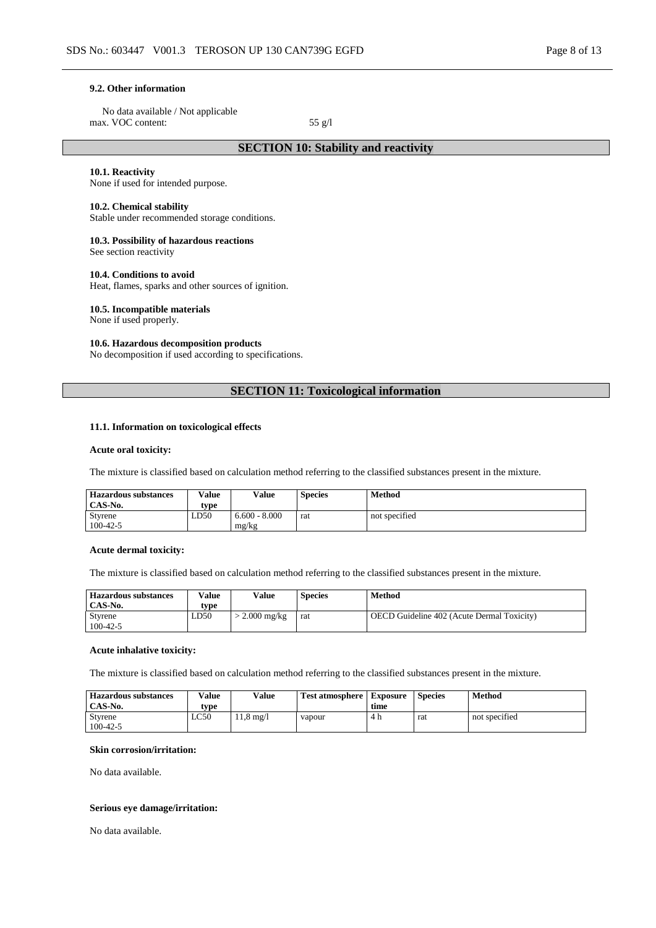#### **9.2. Other information**

No data available / Not applicable max. VOC content: 55 g/l

### **SECTION 10: Stability and reactivity**

#### **10.1. Reactivity**

None if used for intended purpose.

#### **10.2. Chemical stability**

Stable under recommended storage conditions.

#### **10.3. Possibility of hazardous reactions**

See section reactivity

#### **10.4. Conditions to avoid**

Heat, flames, sparks and other sources of ignition.

#### **10.5. Incompatible materials**

None if used properly.

## **10.6. Hazardous decomposition products**

No decomposition if used according to specifications.

# **SECTION 11: Toxicological information**

### **11.1. Information on toxicological effects**

#### **Acute oral toxicity:**

The mixture is classified based on calculation method referring to the classified substances present in the mixture.

| <b>Hazardous substances</b> | Value | <b>Value</b>    | <b>Species</b> | Method        |
|-----------------------------|-------|-----------------|----------------|---------------|
| CAS-No.                     | type  |                 |                |               |
| Styrene                     | LD50  | $6.600 - 8.000$ | rat            | not specified |
| $100-42-5$                  |       | mg/kg           |                |               |

#### **Acute dermal toxicity:**

The mixture is classified based on calculation method referring to the classified substances present in the mixture.

| <b>Hazardous substances</b> | Value | Value                 | <b>Species</b> | Method                                            |
|-----------------------------|-------|-----------------------|----------------|---------------------------------------------------|
| CAS-No.                     | tvpe  |                       |                |                                                   |
| Styrene                     | LD50  | $2.000 \text{ mg/kg}$ | rat            | <b>OECD</b> Guideline 402 (Acute Dermal Toxicity) |
| $100 - 42 - 5$              |       |                       |                |                                                   |

#### **Acute inhalative toxicity:**

The mixture is classified based on calculation method referring to the classified substances present in the mixture.

| <b>Hazardous substances</b><br>CAS-No. | Value        | Value                     | <b>Test atmosphere</b> | <b>Exposure</b> | <b>Species</b> | Method        |
|----------------------------------------|--------------|---------------------------|------------------------|-----------------|----------------|---------------|
| Styrene<br>$100 - 42 - 5$              | tvpe<br>LC50 | $1.6 \text{ mg}/\text{l}$ | vapour                 | time<br>4 h     | rat            | not specified |

#### **Skin corrosion/irritation:**

No data available.

### **Serious eye damage/irritation:**

No data available.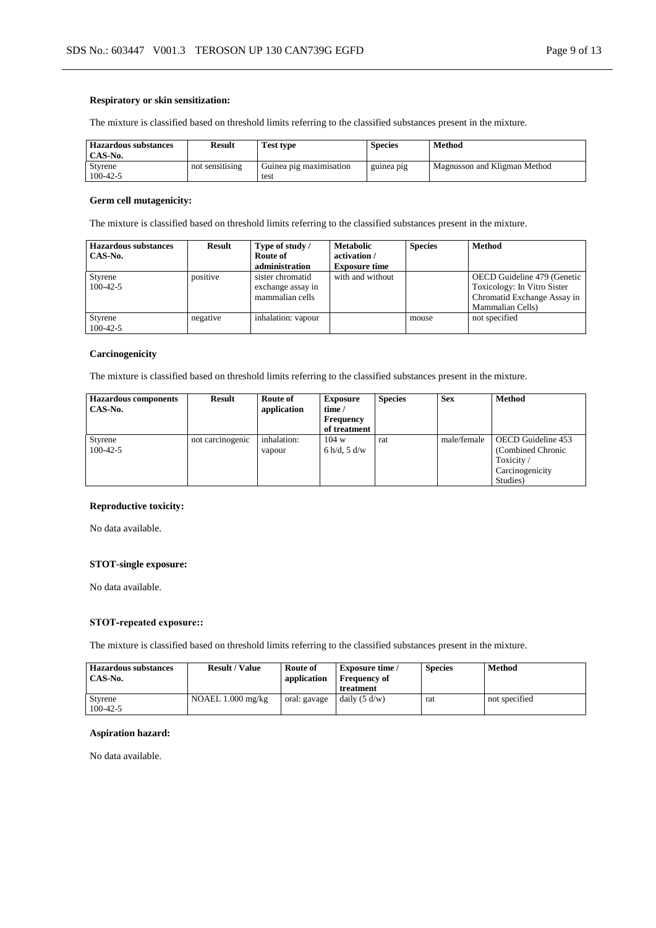### **Respiratory or skin sensitization:**

The mixture is classified based on threshold limits referring to the classified substances present in the mixture.

| <b>Hazardous substances</b><br>CAS-No. | <b>Result</b>   | <b>Test type</b>                | <b>Species</b> | Method                       |
|----------------------------------------|-----------------|---------------------------------|----------------|------------------------------|
| Styrene<br>$100 - 42 - 5$              | not sensitising | Guinea pig maximisation<br>test | guinea pig     | Magnusson and Kligman Method |

### **Germ cell mutagenicity:**

The mixture is classified based on threshold limits referring to the classified substances present in the mixture.

| <b>Hazardous substances</b> | Result   | Type of study /    | <b>Metabolic</b>     | <b>Species</b> | <b>Method</b>               |
|-----------------------------|----------|--------------------|----------------------|----------------|-----------------------------|
| CAS-No.                     |          | Route of           | activation /         |                |                             |
|                             |          | administration     | <b>Exposure time</b> |                |                             |
| Styrene                     | positive | sister chromatid   | with and without     |                | OECD Guideline 479 (Genetic |
| $100-42-5$                  |          | exchange assay in  |                      |                | Toxicology: In Vitro Sister |
|                             |          | mammalian cells    |                      |                | Chromatid Exchange Assay in |
|                             |          |                    |                      |                | Mammalian Cells)            |
| Styrene                     | negative | inhalation: vapour |                      | mouse          | not specified               |
| $100-42-5$                  |          |                    |                      |                |                             |

### **Carcinogenicity**

The mixture is classified based on threshold limits referring to the classified substances present in the mixture.

| <b>Hazardous components</b><br>CAS-No. | <b>Result</b>    | Route of<br>application | <b>Exposure</b><br>time /<br>Frequency<br>of treatment | <b>Species</b> | <b>Sex</b>  | <b>Method</b>                                                                       |
|----------------------------------------|------------------|-------------------------|--------------------------------------------------------|----------------|-------------|-------------------------------------------------------------------------------------|
| Styrene<br>$100 - 42 - 5$              | not carcinogenic | inhalation:<br>vapour   | 104 w<br>6 h/d, 5 d/w                                  | rat            | male/female | OECD Guideline 453<br>(Combined Chronic<br>Toxicity/<br>Carcinogenicity<br>Studies) |

### **Reproductive toxicity:**

No data available.

### **STOT-single exposure:**

No data available.

### **STOT-repeated exposure::**

The mixture is classified based on threshold limits referring to the classified substances present in the mixture.

| <b>Hazardous substances</b><br>CAS-No. | <b>Result / Value</b> | Route of<br>application | <b>Exposure time</b> /<br><b>Frequency of</b><br>treatment | <b>Species</b> | <b>Method</b> |
|----------------------------------------|-----------------------|-------------------------|------------------------------------------------------------|----------------|---------------|
| Styrene<br>$100 - 42 - 5$              | NOAEL $1.000$ mg/kg   | oral: gavage            | daily $(5 d/w)$                                            | rat            | not specified |

# **Aspiration hazard:**

No data available.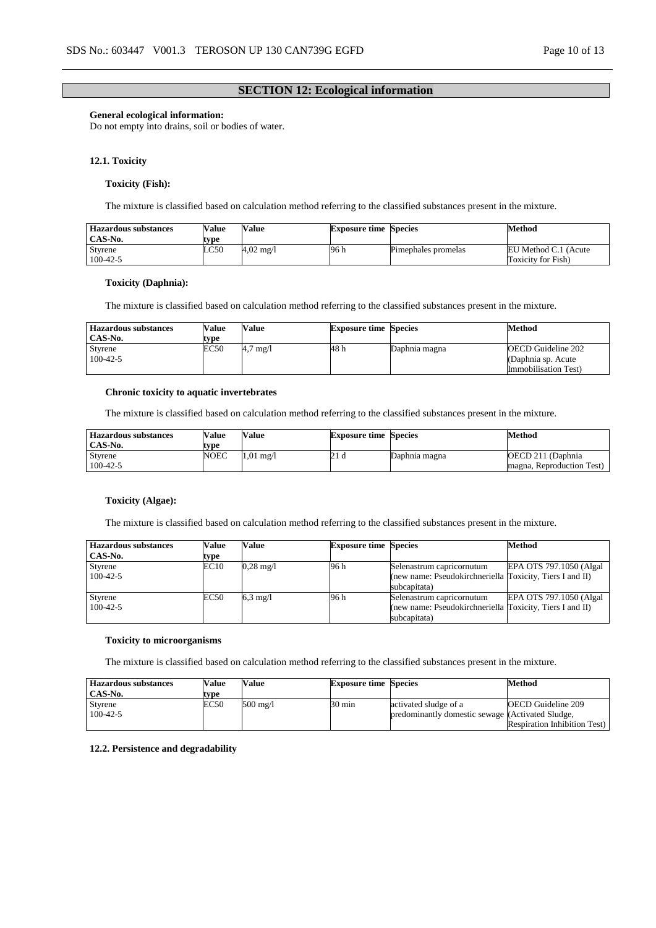### **SECTION 12: Ecological information**

### **General ecological information:**

Do not empty into drains, soil or bodies of water.

### **12.1. Toxicity**

### **Toxicity (Fish):**

The mixture is classified based on calculation method referring to the classified substances present in the mixture.

| <b>Hazardous substances</b> | Value | <b>Value</b>         | <b>Exposure time Species</b> |                     | Method               |
|-----------------------------|-------|----------------------|------------------------------|---------------------|----------------------|
| CAS-No.                     | type  |                      |                              |                     |                      |
| Styrene                     | LC50  | $4.02 \text{ m}$ g/l | 96 h                         | Pimephales promelas | EU Method C.1 (Acute |
| $100 - 42 - 5$              |       |                      |                              |                     | Toxicity for Fish)   |

### **Toxicity (Daphnia):**

The mixture is classified based on calculation method referring to the classified substances present in the mixture.

| <b>Hazardous substances</b> | Value | Value          | <b>Exposure time Species</b> |               | Method                                                            |
|-----------------------------|-------|----------------|------------------------------|---------------|-------------------------------------------------------------------|
| CAS-No.                     | tvpe  |                |                              |               |                                                                   |
| Styrene<br>$100 - 42 - 5$   | EC50  | $\frac{mq}{l}$ | 48 h                         | Daphnia magna | OECD Guideline 202<br>(Daphnia sp. Acute)<br>Immobilisation Test) |

### **Chronic toxicity to aquatic invertebrates**

The mixture is classified based on calculation method referring to the classified substances present in the mixture.

| Hazardous substances | Value | <b>Value</b> | <b>Exposure time Species</b> |               | Method                    |
|----------------------|-------|--------------|------------------------------|---------------|---------------------------|
| CAS-No.              | tvpe  |              |                              |               |                           |
| Styrene              | NOEC  | 1.01<br>mg/l |                              | Daphnia magna | OECD 211 (Daphnia)        |
| $100 - 42 - 5$       |       |              |                              |               | magna, Reproduction Test) |

### **Toxicity (Algae):**

The mixture is classified based on calculation method referring to the classified substances present in the mixture.

| Hazardous substances | Value | Value               | <b>Exposure time Species</b> |                                                          | <b>Method</b>            |
|----------------------|-------|---------------------|------------------------------|----------------------------------------------------------|--------------------------|
| CAS-No.              | type  |                     |                              |                                                          |                          |
| Styrene              | EC10  | $0.28 \text{ mg}/1$ | 96 h                         | Selenastrum capricornutum                                | EPA OTS 797.1050 (Algal) |
| $100 - 42 - 5$       |       |                     |                              | (new name: Pseudokirchneriella Toxicity, Tiers I and II) |                          |
|                      |       |                     |                              | subcapitata)                                             |                          |
| Styrene              | EC50  | $6.3 \text{ mg}/1$  | 96 h                         | Selenastrum capricornutum                                | EPA OTS 797.1050 (Algal) |
| $100-42-5$           |       |                     |                              | (new name: Pseudokirchneriella Toxicity, Tiers I and II) |                          |
|                      |       |                     |                              | subcapitata)                                             |                          |

#### **Toxicity to microorganisms**

The mixture is classified based on calculation method referring to the classified substances present in the mixture.

| <b>Hazardous substances</b> | Value | Value    | <b>Exposure time Species</b> |                                                  | <b>Method</b>                       |
|-----------------------------|-------|----------|------------------------------|--------------------------------------------------|-------------------------------------|
| CAS-No.                     | type  |          |                              |                                                  |                                     |
| Styrene                     | EC50  | 500 mg/l | $30 \text{ min}$             | activated sludge of a                            | <b>OECD</b> Guideline 209           |
| $100 - 42 - 5$              |       |          |                              | predominantly domestic sewage (Activated Sludge, |                                     |
|                             |       |          |                              |                                                  | <b>Respiration Inhibition Test)</b> |

#### **12.2. Persistence and degradability**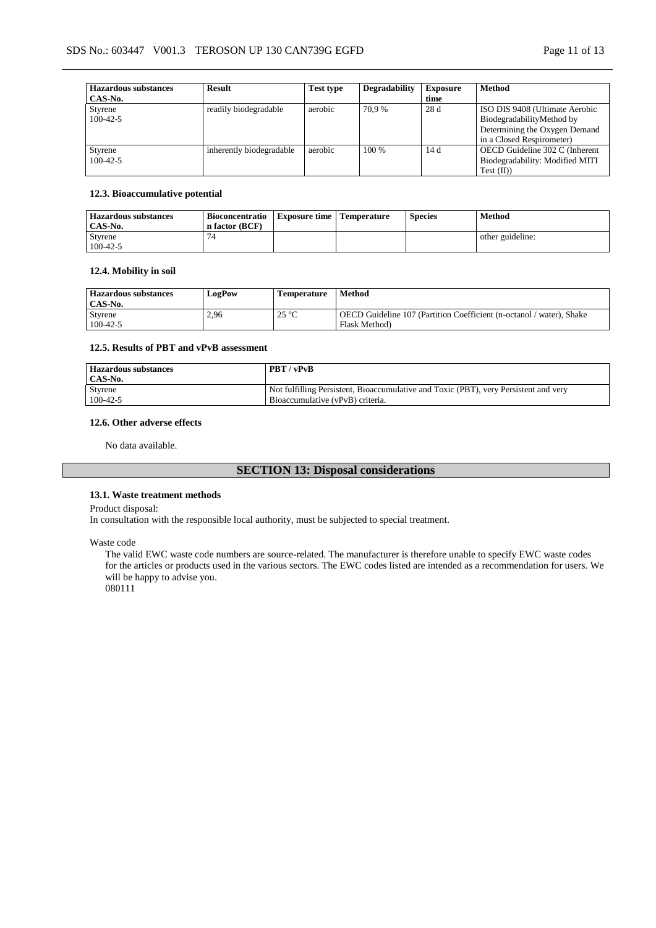| <b>Hazardous substances</b> | <b>Result</b>            | <b>Test type</b> | <b>Degradability</b> | <b>Exposure</b> | <b>Method</b>                   |
|-----------------------------|--------------------------|------------------|----------------------|-----------------|---------------------------------|
| CAS-No.                     |                          |                  |                      | time            |                                 |
| Styrene                     | readily biodegradable    | aerobic          | 70.9 %               | 28d             | ISO DIS 9408 (Ultimate Aerobic  |
| $100-42-5$                  |                          |                  |                      |                 | BiodegradabilityMethod by       |
|                             |                          |                  |                      |                 | Determining the Oxygen Demand   |
|                             |                          |                  |                      |                 | in a Closed Respirometer)       |
| Styrene                     | inherently biodegradable | aerobic          | $100\%$              | 14 d            | OECD Guideline 302 C (Inherent  |
| $100-42-5$                  |                          |                  |                      |                 | Biodegradability: Modified MITI |
|                             |                          |                  |                      |                 | $Test$ (II))                    |

### **12.3. Bioaccumulative potential**

| <b>Hazardous substances</b><br>CAS-No. | <b>Bioconcentratio</b><br>n factor (BCF) | <b>Exposure time</b> | Temperature | <b>Species</b> | Method           |
|----------------------------------------|------------------------------------------|----------------------|-------------|----------------|------------------|
| Styrene                                |                                          |                      |             |                | other guideline: |
| $100 - 42 - 5$                         |                                          |                      |             |                |                  |

### **12.4. Mobility in soil**

| <b>Hazardous substances</b><br>CAS-No. | <b>LogPow</b> | <b>Temperature</b> | <b>Method</b>                                                                         |
|----------------------------------------|---------------|--------------------|---------------------------------------------------------------------------------------|
| <b>Styrene</b><br>$100 - 42 - 5$       | 2,96          | $25^{\circ}C$      | OECD Guideline 107 (Partition Coefficient (n-octanol / water), Shake<br>Flask Method) |

# **12.5. Results of PBT and vPvB assessment**

| Hazardous substances | PBT / vPvB                                                                           |
|----------------------|--------------------------------------------------------------------------------------|
| CAS-No.              |                                                                                      |
| Styrene              | Not fulfilling Persistent, Bioaccumulative and Toxic (PBT), very Persistent and very |
| $100-42-5$           | Bioaccumulative (vPvB) criteria.                                                     |

### **12.6. Other adverse effects**

No data available.

# **SECTION 13: Disposal considerations**

### **13.1. Waste treatment methods**

Product disposal:

In consultation with the responsible local authority, must be subjected to special treatment.

Waste code

The valid EWC waste code numbers are source-related. The manufacturer is therefore unable to specify EWC waste codes for the articles or products used in the various sectors. The EWC codes listed are intended as a recommendation for users. We will be happy to advise you.

080111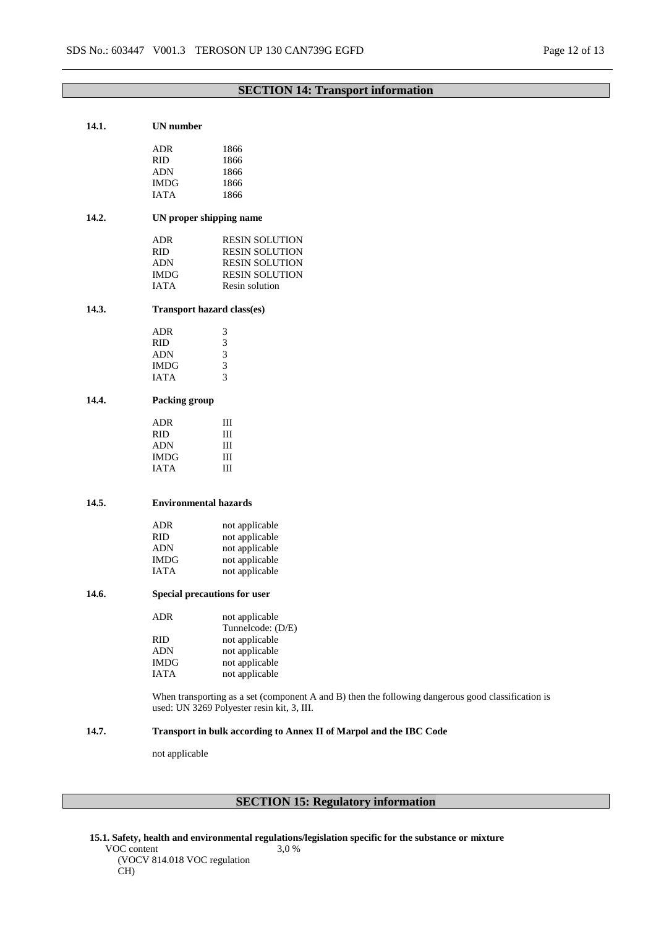# **SECTION 14: Transport information**

| 14.1. | <b>UN</b> number     |                                                                                                                                                  |
|-------|----------------------|--------------------------------------------------------------------------------------------------------------------------------------------------|
|       | ADR                  | 1866                                                                                                                                             |
|       | <b>RID</b>           | 1866                                                                                                                                             |
|       | <b>ADN</b>           | 1866                                                                                                                                             |
|       |                      | 1866                                                                                                                                             |
|       | <b>IMDG</b>          |                                                                                                                                                  |
|       | <b>IATA</b>          | 1866                                                                                                                                             |
| 14.2. |                      | UN proper shipping name                                                                                                                          |
|       | <b>ADR</b>           | <b>RESIN SOLUTION</b>                                                                                                                            |
|       | RID                  | <b>RESIN SOLUTION</b>                                                                                                                            |
|       | ADN                  | <b>RESIN SOLUTION</b>                                                                                                                            |
|       | <b>IMDG</b>          | <b>RESIN SOLUTION</b>                                                                                                                            |
|       | <b>IATA</b>          | Resin solution                                                                                                                                   |
| 14.3. |                      | Transport hazard class(es)                                                                                                                       |
|       | <b>ADR</b>           | 3                                                                                                                                                |
|       | <b>RID</b>           | $\mathfrak{Z}$                                                                                                                                   |
|       | ADN                  | 3                                                                                                                                                |
|       | <b>IMDG</b>          | 3                                                                                                                                                |
|       | <b>IATA</b>          | 3                                                                                                                                                |
| 14.4. | <b>Packing group</b> |                                                                                                                                                  |
|       | <b>ADR</b>           | Ш                                                                                                                                                |
|       | <b>RID</b>           | Ш                                                                                                                                                |
|       | <b>ADN</b>           | Ш                                                                                                                                                |
|       | <b>IMDG</b>          | Ш                                                                                                                                                |
|       | <b>IATA</b>          | Ш                                                                                                                                                |
|       |                      |                                                                                                                                                  |
| 14.5. |                      | <b>Environmental hazards</b>                                                                                                                     |
|       | ADR                  | not applicable                                                                                                                                   |
|       | <b>RID</b>           | not applicable                                                                                                                                   |
|       | <b>ADN</b>           | not applicable                                                                                                                                   |
|       | <b>IMDG</b>          | not applicable                                                                                                                                   |
|       | <b>IATA</b>          | not applicable                                                                                                                                   |
|       |                      |                                                                                                                                                  |
| 14.6. |                      | <b>Special precautions for user</b>                                                                                                              |
|       | ADR                  | not applicable                                                                                                                                   |
|       |                      | Tunnelcode: (D/E)                                                                                                                                |
|       | RID                  | not applicable                                                                                                                                   |
|       | ADN                  | not applicable                                                                                                                                   |
|       | <b>IMDG</b>          | not applicable                                                                                                                                   |
|       | <b>IATA</b>          | not applicable                                                                                                                                   |
|       |                      | When transporting as a set (component A and B) then the following dangerous good classification is<br>used: UN 3269 Polyester resin kit, 3, III. |
| 14.7. |                      | Transport in bulk according to Annex II of Marpol and the IBC Code                                                                               |
|       | not applicable       |                                                                                                                                                  |
|       |                      |                                                                                                                                                  |
|       |                      |                                                                                                                                                  |

# **SECTION 15: Regulatory information**

**15.1. Safety, health and environmental regulations/legislation specific for the substance or mixture** VOC content 3,0 %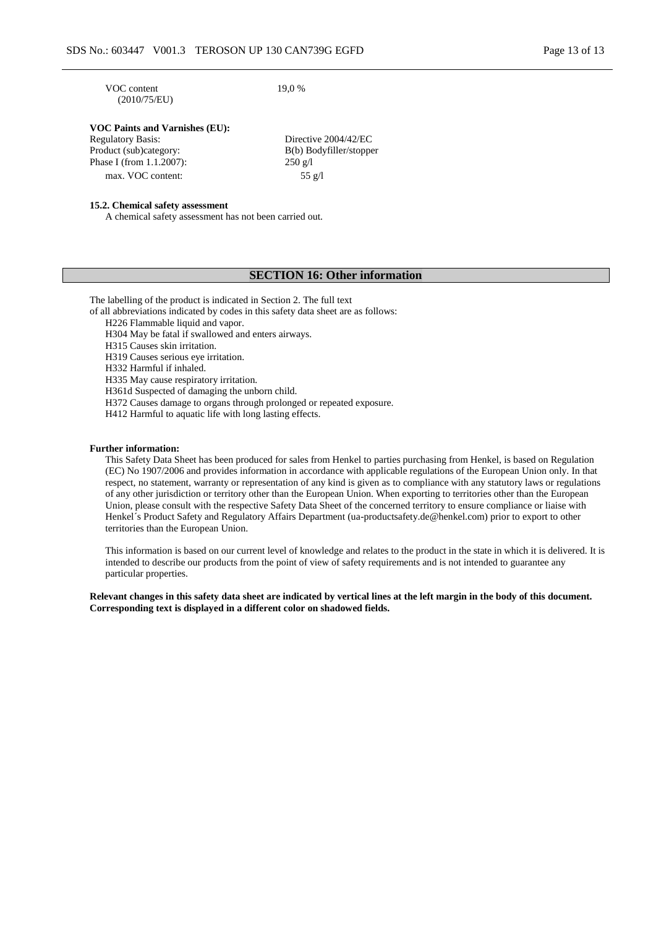VOC content (2010/75/EU) 19,0 %

# **VOC Paints and Varnishes (EU):**

| Directive 2004/42/EC    |
|-------------------------|
| B(b) Bodyfiller/stopper |
| $250 \text{ g}/1$       |
| 55 $g/l$                |
|                         |

### **15.2. Chemical safety assessment**

A chemical safety assessment has not been carried out.

# **SECTION 16: Other information**

The labelling of the product is indicated in Section 2. The full text

of all abbreviations indicated by codes in this safety data sheet are as follows:

H226 Flammable liquid and vapor.

H304 May be fatal if swallowed and enters airways.

H315 Causes skin irritation.

H319 Causes serious eye irritation.

H332 Harmful if inhaled.

H335 May cause respiratory irritation.

H361d Suspected of damaging the unborn child.

H372 Causes damage to organs through prolonged or repeated exposure.

H412 Harmful to aquatic life with long lasting effects.

#### **Further information:**

This Safety Data Sheet has been produced for sales from Henkel to parties purchasing from Henkel, is based on Regulation (EC) No 1907/2006 and provides information in accordance with applicable regulations of the European Union only. In that respect, no statement, warranty or representation of any kind is given as to compliance with any statutory laws or regulations of any other jurisdiction or territory other than the European Union. When exporting to territories other than the European Union, please consult with the respective Safety Data Sheet of the concerned territory to ensure compliance or liaise with Henkel´s Product Safety and Regulatory Affairs Department (ua-productsafety.de@henkel.com) prior to export to other territories than the European Union.

This information is based on our current level of knowledge and relates to the product in the state in which it is delivered. It is intended to describe our products from the point of view of safety requirements and is not intended to guarantee any particular properties.

**Relevant changes in this safety data sheet are indicated by vertical lines at the left margin in the body of this document. Corresponding text is displayed in a different color on shadowed fields.**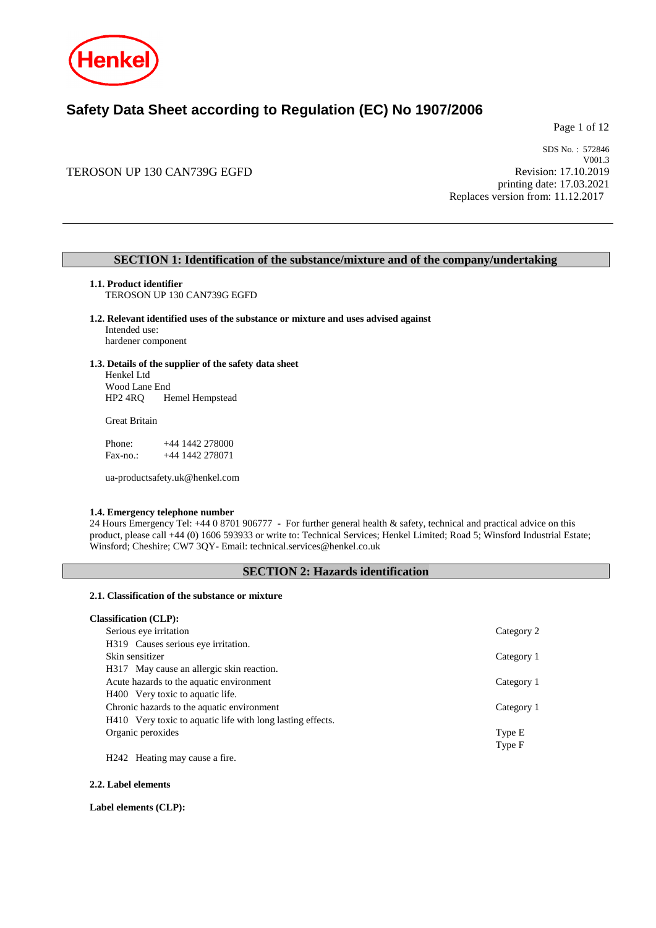

# **Safety Data Sheet according to Regulation (EC) No 1907/2006**

Page 1 of 12

# TEROSON UP 130 CAN739G EGFD

SDS No. : 572846 V001.3 Revision: 17.10.2019 printing date: 17.03.2021 Replaces version from: 11.12.2017

# **SECTION 1: Identification of the substance/mixture and of the company/undertaking**

**1.1. Product identifier**

TEROSON UP 130 CAN739G EGFD

### **1.2. Relevant identified uses of the substance or mixture and uses advised against**

Intended use: hardener component

#### **1.3. Details of the supplier of the safety data sheet**

Henkel Ltd Wood Lane End HP2 4RQ Hemel Hempstead

Great Britain

Phone: +44 1442 278000<br>Fax-no.: +44 1442 278071 +44 1442 278071

ua-productsafety.uk@henkel.com

### **1.4. Emergency telephone number**

24 Hours Emergency Tel: +44 0 8701 906777 - For further general health & safety, technical and practical advice on this product, please call +44 (0) 1606 593933 or write to: Technical Services; Henkel Limited; Road 5; Winsford Industrial Estate; Winsford; Cheshire; CW7 3QY- Email: technical.services@henkel.co.uk

### **SECTION 2: Hazards identification**

#### **2.1. Classification of the substance or mixture**

# **Classification (CLP):** Serious eye irritation Category 2 H319 Causes serious eye irritation. Skin sensitizer Category 1 H317 May cause an allergic skin reaction. Acute hazards to the aquatic environment Category 1 H400 Very toxic to aquatic life. Chronic hazards to the aquatic environment Category 1 H410 Very toxic to aquatic life with long lasting effects. Organic peroxides Type E Type F

H242 Heating may cause a fire.

**2.2. Label elements**

**Label elements (CLP):**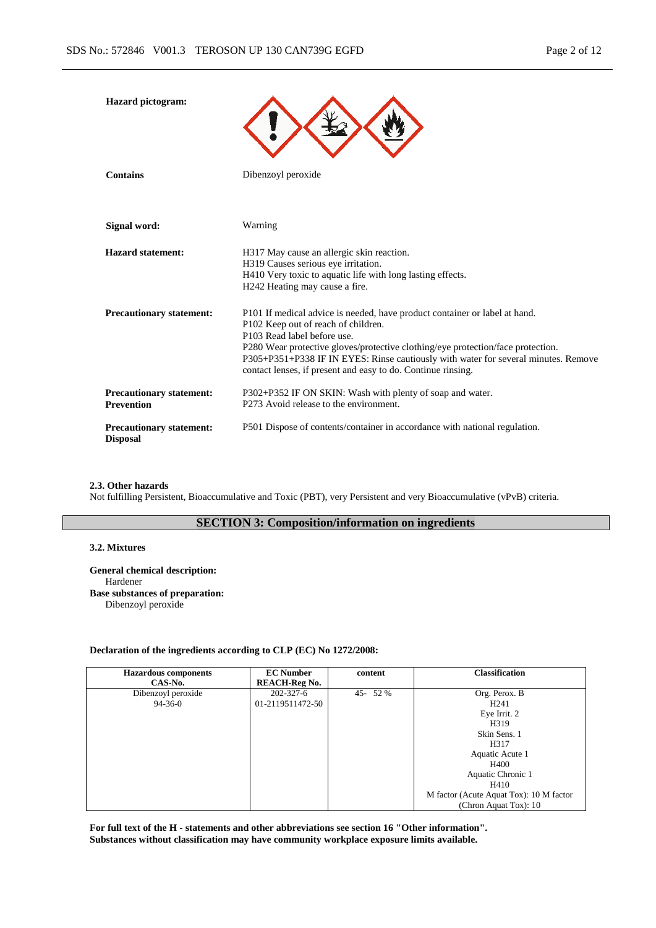| <b>Hazard</b> pictogram:                             |                                                                                                                                                                                                                                                                                                                                                                                           |
|------------------------------------------------------|-------------------------------------------------------------------------------------------------------------------------------------------------------------------------------------------------------------------------------------------------------------------------------------------------------------------------------------------------------------------------------------------|
| <b>Contains</b>                                      | Dibenzoyl peroxide                                                                                                                                                                                                                                                                                                                                                                        |
| Signal word:                                         | Warning                                                                                                                                                                                                                                                                                                                                                                                   |
| Hazard statement:                                    | H317 May cause an allergic skin reaction.<br>H319 Causes serious eye irritation.<br>H410 Very toxic to aquatic life with long lasting effects.<br>H242 Heating may cause a fire.                                                                                                                                                                                                          |
| <b>Precautionary statement:</b>                      | P101 If medical advice is needed, have product container or label at hand.<br>P102 Keep out of reach of children.<br>P103 Read label before use.<br>P280 Wear protective gloves/protective clothing/eye protection/face protection.<br>P305+P351+P338 IF IN EYES: Rinse cautiously with water for several minutes. Remove<br>contact lenses, if present and easy to do. Continue rinsing. |
| <b>Precautionary statement:</b><br><b>Prevention</b> | P302+P352 IF ON SKIN: Wash with plenty of soap and water.<br>P273 Avoid release to the environment.                                                                                                                                                                                                                                                                                       |
| <b>Precautionary statement:</b><br><b>Disposal</b>   | P501 Dispose of contents/container in accordance with national regulation.                                                                                                                                                                                                                                                                                                                |

#### **2.3. Other hazards**

Not fulfilling Persistent, Bioaccumulative and Toxic (PBT), very Persistent and very Bioaccumulative (vPvB) criteria.

# **SECTION 3: Composition/information on ingredients**

### **3.2. Mixtures**

**General chemical description:** Hardener **Base substances of preparation:** Dibenzoyl peroxide

### **Declaration of the ingredients according to CLP (EC) No 1272/2008:**

| <b>Hazardous</b> components<br>CAS-No. | <b>EC Number</b><br><b>REACH-Reg No.</b> | content | <b>Classification</b>                   |
|----------------------------------------|------------------------------------------|---------|-----------------------------------------|
| Dibenzoyl peroxide                     | $202 - 327 - 6$                          | 45-52%  | Org. Perox. B                           |
| $94 - 36 - 0$                          | 01-2119511472-50                         |         | H <sub>241</sub>                        |
|                                        |                                          |         | Eye Irrit. 2                            |
|                                        |                                          |         | H319                                    |
|                                        |                                          |         | Skin Sens. 1                            |
|                                        |                                          |         | H317                                    |
|                                        |                                          |         | Aquatic Acute 1                         |
|                                        |                                          |         | H400                                    |
|                                        |                                          |         | Aquatic Chronic 1                       |
|                                        |                                          |         | H410                                    |
|                                        |                                          |         | M factor (Acute Aquat Tox): 10 M factor |
|                                        |                                          |         | (Chron Aquat Tox): 10                   |

**For full text of the H - statements and other abbreviations see section 16 "Other information". Substances without classification may have community workplace exposure limits available.**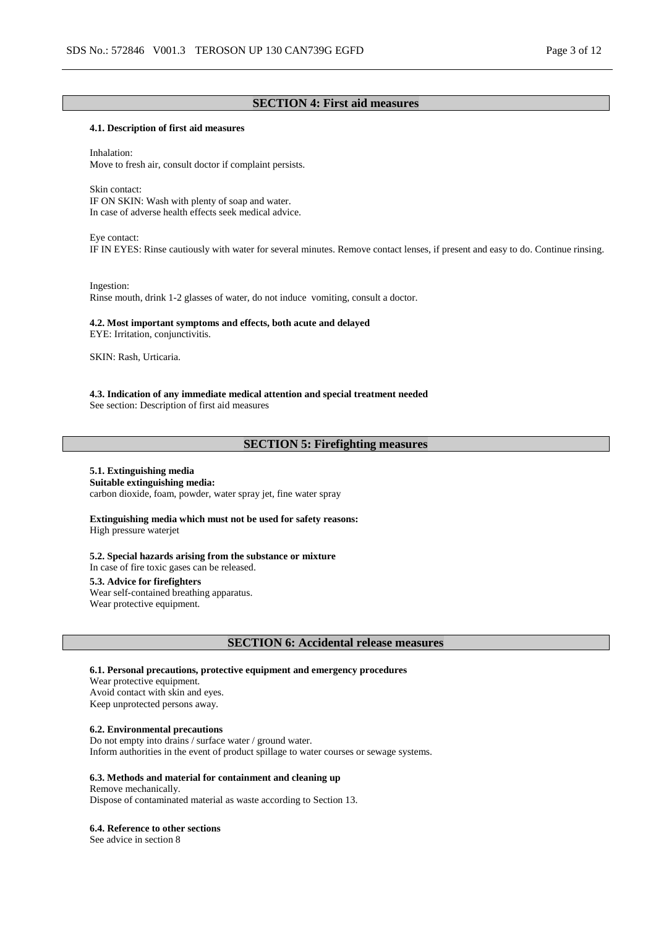# **SECTION 4: First aid measures**

### **4.1. Description of first aid measures**

Inhalation: Move to fresh air, consult doctor if complaint persists.

Skin contact: IF ON SKIN: Wash with plenty of soap and water. In case of adverse health effects seek medical advice.

Eye contact:

IF IN EYES: Rinse cautiously with water for several minutes. Remove contact lenses, if present and easy to do. Continue rinsing.

Ingestion:

Rinse mouth, drink 1-2 glasses of water, do not induce vomiting, consult a doctor.

# **4.2. Most important symptoms and effects, both acute and delayed**

EYE: Irritation, conjunctivitis.

SKIN: Rash, Urticaria.

**4.3. Indication of any immediate medical attention and special treatment needed** See section: Description of first aid measures

### **SECTION 5: Firefighting measures**

#### **5.1. Extinguishing media Suitable extinguishing media:**

carbon dioxide, foam, powder, water spray jet, fine water spray

**Extinguishing media which must not be used for safety reasons:** High pressure waterjet

**5.2. Special hazards arising from the substance or mixture** In case of fire toxic gases can be released.

**5.3. Advice for firefighters**

Wear self-contained breathing apparatus. Wear protective equipment.

**SECTION 6: Accidental release measures**

**6.1. Personal precautions, protective equipment and emergency procedures**

Wear protective equipment. Avoid contact with skin and eyes. Keep unprotected persons away.

### **6.2. Environmental precautions**

Do not empty into drains / surface water / ground water. Inform authorities in the event of product spillage to water courses or sewage systems.

### **6.3. Methods and material for containment and cleaning up**

Remove mechanically. Dispose of contaminated material as waste according to Section 13.

#### **6.4. Reference to other sections**

See advice in section 8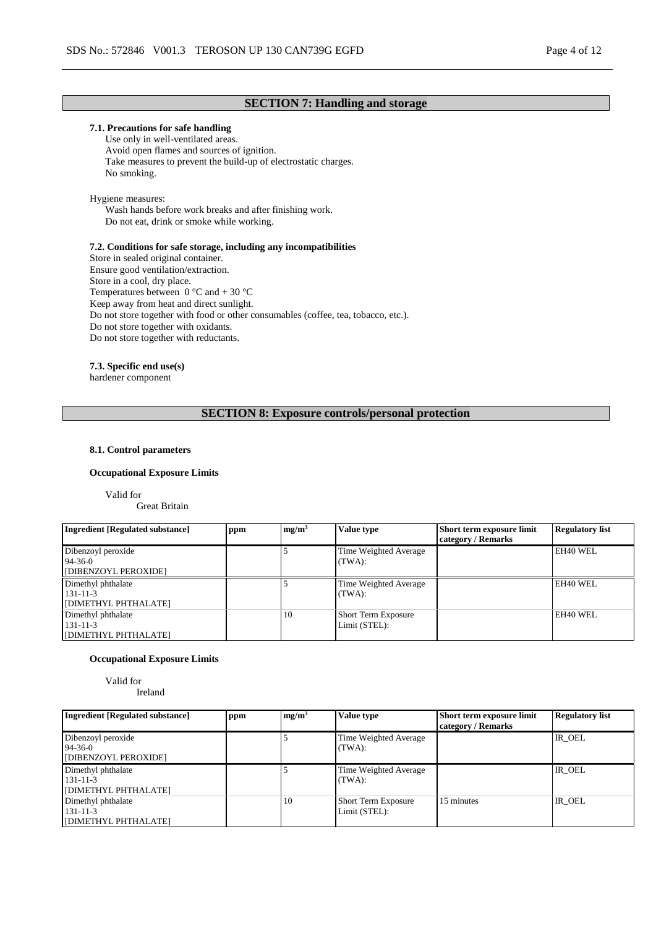# **SECTION 7: Handling and storage**

### **7.1. Precautions for safe handling**

Use only in well-ventilated areas. Avoid open flames and sources of ignition. Take measures to prevent the build-up of electrostatic charges. No smoking.

### Hygiene measures:

Wash hands before work breaks and after finishing work. Do not eat, drink or smoke while working.

### **7.2. Conditions for safe storage, including any incompatibilities**

Store in sealed original container. Ensure good ventilation/extraction. Store in a cool, dry place. Temperatures between  $0^{\circ}$ C and + 30  $^{\circ}$ C Keep away from heat and direct sunlight. Do not store together with food or other consumables (coffee, tea, tobacco, etc.). Do not store together with oxidants. Do not store together with reductants.

### **7.3. Specific end use(s)**

hardener component

### **SECTION 8: Exposure controls/personal protection**

### **8.1. Control parameters**

#### **Occupational Exposure Limits**

Valid for

Great Britain

| Ingredient [Regulated substance]                            | ppm | mg/m <sup>3</sup> | Value type                                  | Short term exposure limit<br>category / Remarks | <b>Regulatory list</b> |
|-------------------------------------------------------------|-----|-------------------|---------------------------------------------|-------------------------------------------------|------------------------|
| Dibenzoyl peroxide<br>$94 - 36 - 0$<br>[DIBENZOYL PEROXIDE] |     |                   | Time Weighted Average<br>(TWA):             |                                                 | EH40 WEL               |
| Dimethyl phthalate<br>131-11-3<br>[DIMETHYL PHTHALATE]      |     |                   | Time Weighted Average<br>(TWA):             |                                                 | EH40 WEL               |
| Dimethyl phthalate<br>131-11-3<br>[DIMETHYL PHTHALATE]      |     | 10                | <b>Short Term Exposure</b><br>Limit (STEL): |                                                 | EH40 WEL               |

### **Occupational Exposure Limits**

Valid for Ireland

| <b>Ingredient [Regulated substance]</b>                     | ppm | mg/m <sup>3</sup> | Value type                                  | Short term exposure limit<br>category / Remarks | <b>Regulatory list</b> |
|-------------------------------------------------------------|-----|-------------------|---------------------------------------------|-------------------------------------------------|------------------------|
| Dibenzoyl peroxide<br>$94 - 36 - 0$<br>[DIBENZOYL PEROXIDE] |     |                   | Time Weighted Average<br>(TWA):             |                                                 | IR OEL                 |
| Dimethyl phthalate<br>131-11-3<br>[DIMETHYL PHTHALATE]      |     |                   | Time Weighted Average<br>(TWA):             |                                                 | IR OEL                 |
| Dimethyl phthalate<br>131-11-3<br>[DIMETHYL PHTHALATE]      |     | 10                | <b>Short Term Exposure</b><br>Limit (STEL): | 15 minutes                                      | IR OEL                 |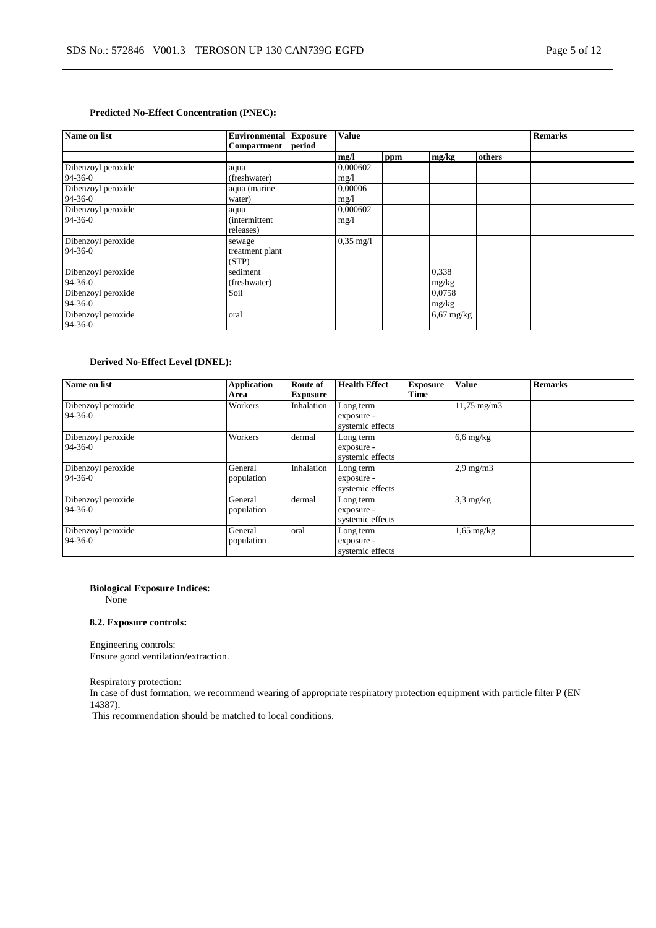### **Predicted No-Effect Concentration (PNEC):**

| Name on list       | <b>Environmental Exposure</b> |        | <b>Value</b>        |     |              |        | <b>Remarks</b> |
|--------------------|-------------------------------|--------|---------------------|-----|--------------|--------|----------------|
|                    | Compartment                   | period |                     |     |              |        |                |
|                    |                               |        | mg/l                | ppm | mg/kg        | others |                |
| Dibenzoyl peroxide | aqua                          |        | 0,000602            |     |              |        |                |
| 94-36-0            | (freshwater)                  |        | mg/1                |     |              |        |                |
| Dibenzoyl peroxide | aqua (marine                  |        | 0.00006             |     |              |        |                |
| 94-36-0            | water)                        |        | mg/1                |     |              |        |                |
| Dibenzoyl peroxide | aqua                          |        | 0.000602            |     |              |        |                |
| $94 - 36 - 0$      | <i>(intermittent)</i>         |        | mg/1                |     |              |        |                |
|                    | releases)                     |        |                     |     |              |        |                |
| Dibenzoyl peroxide | sewage                        |        | $0,35 \text{ mg}/1$ |     |              |        |                |
| $94 - 36 - 0$      | treatment plant               |        |                     |     |              |        |                |
|                    | (STP)                         |        |                     |     |              |        |                |
| Dibenzoyl peroxide | sediment                      |        |                     |     | 0,338        |        |                |
| $94 - 36 - 0$      | (freshwater)                  |        |                     |     | mg/kg        |        |                |
| Dibenzoyl peroxide | Soil                          |        |                     |     | 0,0758       |        |                |
| 94-36-0            |                               |        |                     |     | mg/kg        |        |                |
| Dibenzoyl peroxide | oral                          |        |                     |     | $6,67$ mg/kg |        |                |
| $94 - 36 - 0$      |                               |        |                     |     |              |        |                |

### **Derived No-Effect Level (DNEL):**

| Name on list                        | <b>Application</b><br>Area | Route of<br><b>Exposure</b> | <b>Health Effect</b>                        | <b>Exposure</b><br>Time | <b>Value</b>           | <b>Remarks</b> |
|-------------------------------------|----------------------------|-----------------------------|---------------------------------------------|-------------------------|------------------------|----------------|
| Dibenzoyl peroxide<br>$94 - 36 - 0$ | Workers                    | Inhalation                  | Long term<br>exposure -<br>systemic effects |                         | $11,75 \text{ mg/m}$ 3 |                |
| Dibenzoyl peroxide<br>$94 - 36 - 0$ | Workers                    | dermal                      | Long term<br>exposure -<br>systemic effects |                         | $6,6$ mg/kg            |                |
| Dibenzoyl peroxide<br>$94 - 36 - 0$ | General<br>population      | Inhalation                  | Long term<br>exposure -<br>systemic effects |                         | $2.9 \text{ mg/m}$     |                |
| Dibenzoyl peroxide<br>$94-36-0$     | General<br>population      | dermal                      | Long term<br>exposure -<br>systemic effects |                         | $3,3$ mg/kg            |                |
| Dibenzoyl peroxide<br>$94 - 36 - 0$ | General<br>population      | oral                        | Long term<br>exposure -<br>systemic effects |                         | $1,65$ mg/kg           |                |

### **Biological Exposure Indices:**

None

### **8.2. Exposure controls:**

Engineering controls: Ensure good ventilation/extraction.

Respiratory protection:

In case of dust formation, we recommend wearing of appropriate respiratory protection equipment with particle filter P (EN 14387).

This recommendation should be matched to local conditions.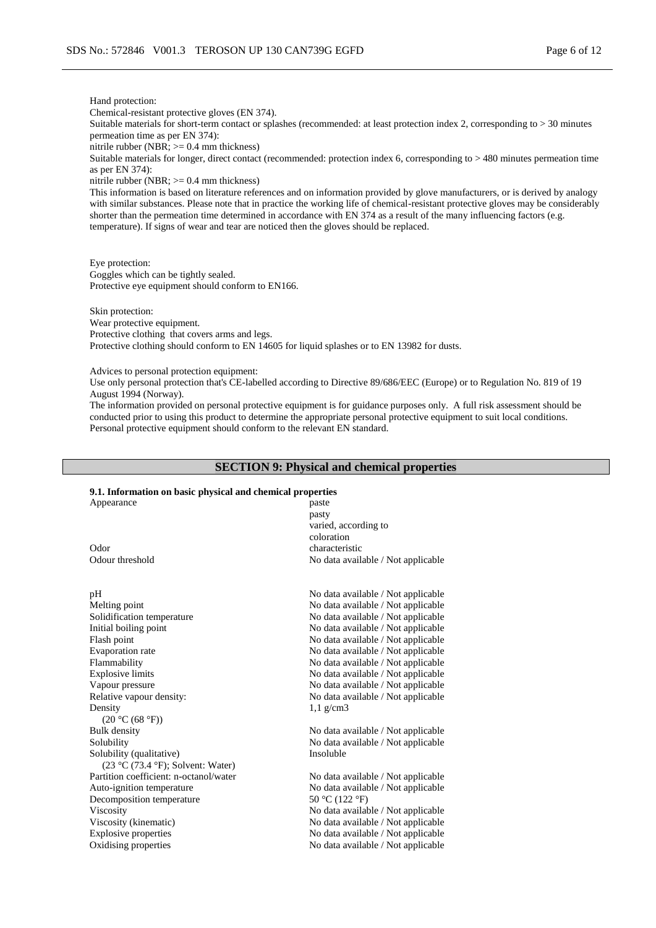#### Hand protection:

Chemical-resistant protective gloves (EN 374).

Suitable materials for short-term contact or splashes (recommended: at least protection index 2, corresponding to > 30 minutes permeation time as per EN 374):

nitrile rubber (NBR; >= 0.4 mm thickness)

Suitable materials for longer, direct contact (recommended: protection index 6, corresponding to > 480 minutes permeation time as per EN 374):

nitrile rubber (NBR; >= 0.4 mm thickness)

This information is based on literature references and on information provided by glove manufacturers, or is derived by analogy with similar substances. Please note that in practice the working life of chemical-resistant protective gloves may be considerably shorter than the permeation time determined in accordance with EN 374 as a result of the many influencing factors (e.g. temperature). If signs of wear and tear are noticed then the gloves should be replaced.

Eye protection: Goggles which can be tightly sealed. Protective eye equipment should conform to EN166.

Skin protection: Wear protective equipment. Protective clothing that covers arms and legs. Protective clothing should conform to EN 14605 for liquid splashes or to EN 13982 for dusts.

Advices to personal protection equipment:

Use only personal protection that's CE-labelled according to Directive 89/686/EEC (Europe) or to Regulation No. 819 of 19 August 1994 (Norway).

The information provided on personal protective equipment is for guidance purposes only. A full risk assessment should be conducted prior to using this product to determine the appropriate personal protective equipment to suit local conditions. Personal protective equipment should conform to the relevant EN standard.

### **SECTION 9: Physical and chemical properties**

## **9.1. Information on basic physical and chemical properties**

| Appearance                            | paste                              |
|---------------------------------------|------------------------------------|
|                                       |                                    |
|                                       | pasty                              |
|                                       | varied, according to               |
|                                       | coloration                         |
| Odor                                  | characteristic                     |
| Odour threshold                       | No data available / Not applicable |
| pH                                    | No data available / Not applicable |
| Melting point                         | No data available / Not applicable |
|                                       |                                    |
| Solidification temperature            | No data available / Not applicable |
| Initial boiling point                 | No data available / Not applicable |
| Flash point                           | No data available / Not applicable |
| <b>Evaporation</b> rate               | No data available / Not applicable |
| Flammability                          | No data available / Not applicable |
| <b>Explosive limits</b>               | No data available / Not applicable |
| Vapour pressure                       | No data available / Not applicable |
| Relative vapour density:              | No data available / Not applicable |
| Density                               | $1,1$ g/cm3                        |
| (20 °C (68 °F))                       |                                    |
| <b>Bulk density</b>                   | No data available / Not applicable |
| Solubility                            | No data available / Not applicable |
| Solubility (qualitative)              | Insoluble                          |
| $(23 °C (73.4 °F))$ ; Solvent: Water) |                                    |

Partition coefficient: n-octanol/water No data available / Not applicable Auto-ignition temperature No data available / Not applicable Decomposition temperature  $50 \degree C$  (122 °F)

Viscosity No data available / Not applicable Viscosity (kinematic) No data available / Not applicable Explosive properties No data available / Not applicable Oxidising properties No data available / Not applicable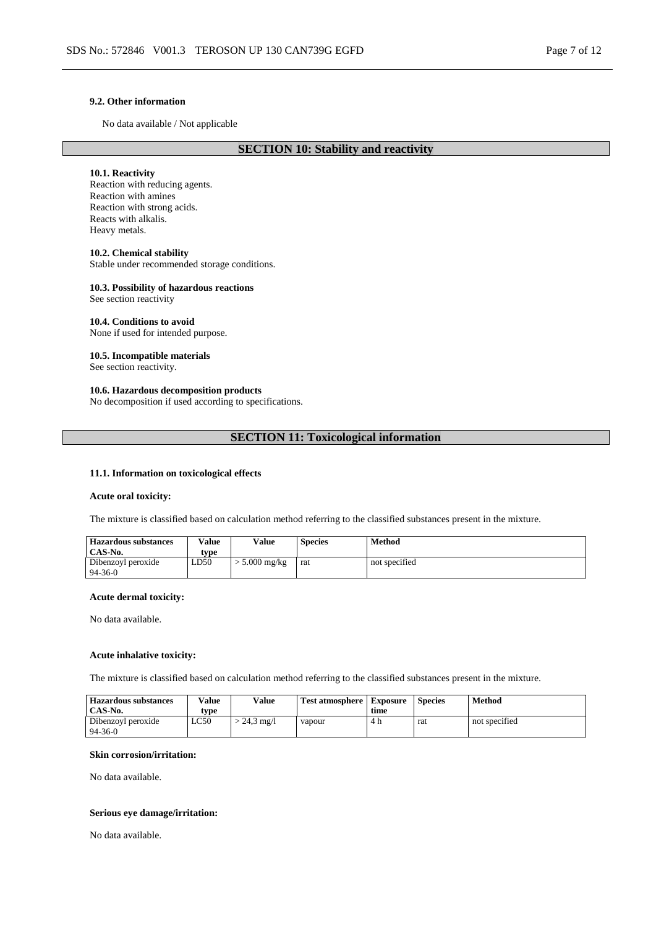### **9.2. Other information**

No data available / Not applicable

# **SECTION 10: Stability and reactivity**

### **10.1. Reactivity**

Reaction with reducing agents. Reaction with amines Reaction with strong acids. Reacts with alkalis. Heavy metals.

#### **10.2. Chemical stability**

Stable under recommended storage conditions.

### **10.3. Possibility of hazardous reactions**

See section reactivity

### **10.4. Conditions to avoid**

None if used for intended purpose.

### **10.5. Incompatible materials**

See section reactivity.

### **10.6. Hazardous decomposition products**

No decomposition if used according to specifications.

### **SECTION 11: Toxicological information**

### **11.1. Information on toxicological effects**

#### **Acute oral toxicity:**

The mixture is classified based on calculation method referring to the classified substances present in the mixture.

| <b>Hazardous substances</b> | <b>Value</b> | Value         | <b>Species</b> | Method        |
|-----------------------------|--------------|---------------|----------------|---------------|
| CAS-No.                     | type         |               |                |               |
| Dibenzoyl peroxide          | LD50         | $5.000$ mg/kg | rat            | not specified |
| $94 - 36 - 0$               |              |               |                |               |

### **Acute dermal toxicity:**

No data available.

#### **Acute inhalative toxicity:**

The mixture is classified based on calculation method referring to the classified substances present in the mixture.

| <b>Hazardous substances</b><br>CAS-No. | <b>Value</b><br>tvpe | Value                | <b>Test atmosphere   Exposure</b> | time | <b>Species</b> | Method        |
|----------------------------------------|----------------------|----------------------|-----------------------------------|------|----------------|---------------|
| Dibenzoyl peroxide                     | LC50                 | $-24.3 \text{ mg}/1$ | vapour                            | 4 h  | rat            | not specified |
| $94 - 36 - 0$                          |                      |                      |                                   |      |                |               |

#### **Skin corrosion/irritation:**

No data available.

### **Serious eye damage/irritation:**

No data available.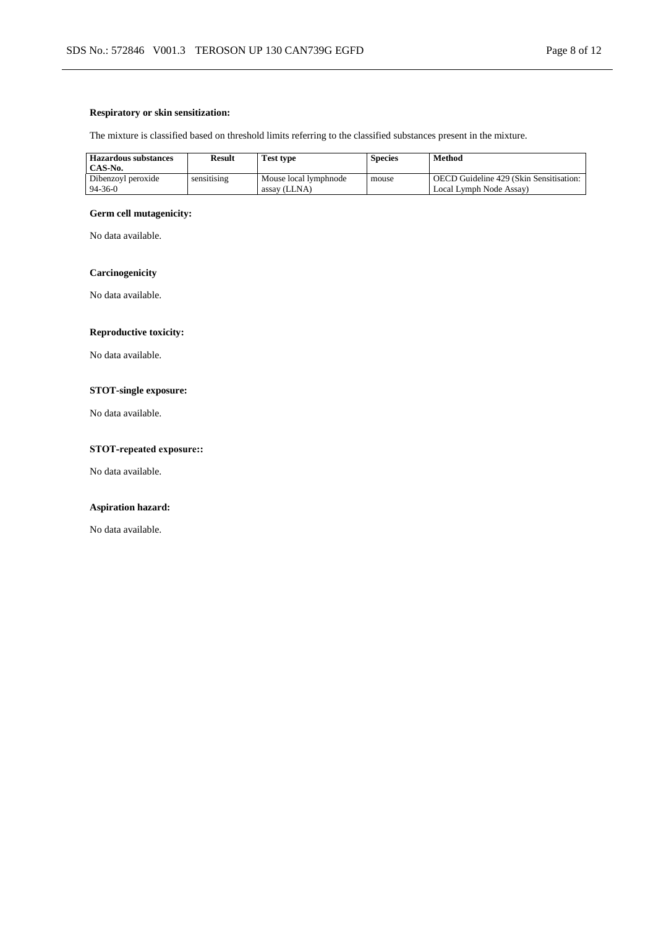### **Respiratory or skin sensitization:**

The mixture is classified based on threshold limits referring to the classified substances present in the mixture.

| <b>Hazardous substances</b><br>CAS-No. | <b>Result</b> | <b>Test type</b>                      | <b>Species</b> | <b>Method</b>                                                      |
|----------------------------------------|---------------|---------------------------------------|----------------|--------------------------------------------------------------------|
| Dibenzoyl peroxide<br>$94 - 36 - 0$    | sensitising   | Mouse local lymphnode<br>assay (LLNA) | mouse          | OECD Guideline 429 (Skin Sensitisation:<br>Local Lymph Node Assay) |

### **Germ cell mutagenicity:**

No data available.

# **Carcinogenicity**

No data available.

# **Reproductive toxicity:**

No data available.

# **STOT-single exposure:**

No data available.

# **STOT-repeated exposure::**

No data available.

### **Aspiration hazard:**

No data available.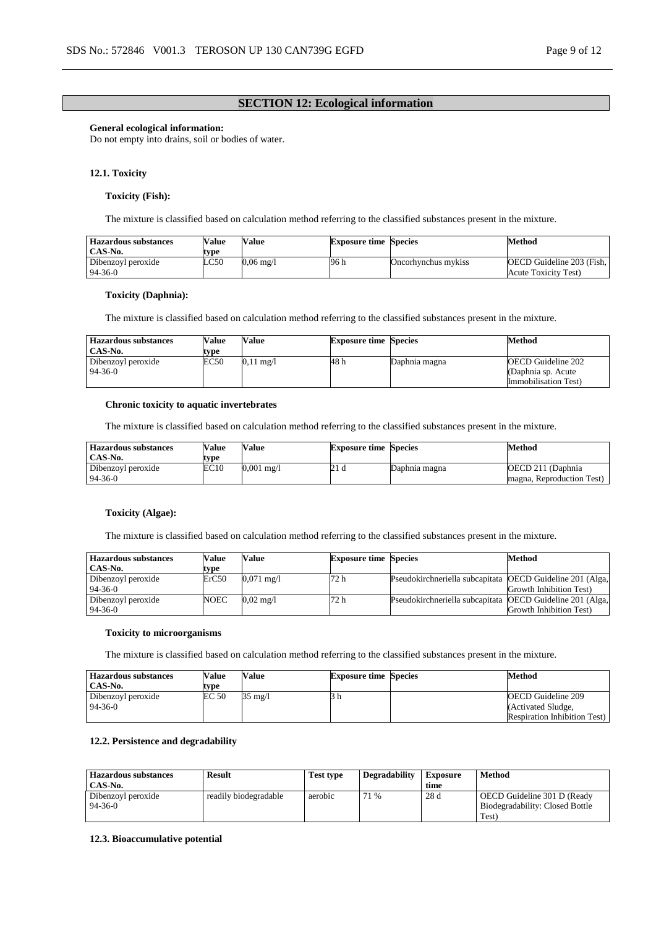# **SECTION 12: Ecological information**

#### **General ecological information:**

Do not empty into drains, soil or bodies of water.

#### **12.1. Toxicity**

#### **Toxicity (Fish):**

The mixture is classified based on calculation method referring to the classified substances present in the mixture.

| Value     | <b>Exposure time Species</b> | Method                                                   |
|-----------|------------------------------|----------------------------------------------------------|
|           |                              |                                                          |
| 0.06 mg/l | 96 h                         | <b>OECD</b> Guideline 203 (Fish.<br>Acute Toxicity Test) |
|           |                              | Oncorhynchus mykiss                                      |

#### **Toxicity (Daphnia):**

The mixture is classified based on calculation method referring to the classified substances present in the mixture.

| <b>Hazardous substances</b>         | Value | Value               | <b>Exposure time Species</b> |               | Method                                                                   |
|-------------------------------------|-------|---------------------|------------------------------|---------------|--------------------------------------------------------------------------|
| CAS-No.                             | type  |                     |                              |               |                                                                          |
| Dibenzoyl peroxide<br>$94 - 36 - 0$ | EC50  | $0.11 \text{ mg}/1$ | 48 h                         | Daphnia magna | <b>OECD</b> Guideline 202<br>(Daphnia sp. Acute)<br>Immobilisation Test) |

#### **Chronic toxicity to aquatic invertebrates**

The mixture is classified based on calculation method referring to the classified substances present in the mixture.

| <b>Hazardous substances</b><br>CAS-No. | Value<br>type | Value                 | <b>Exposure time Species</b> |               | Method                    |
|----------------------------------------|---------------|-----------------------|------------------------------|---------------|---------------------------|
| Dibenzoyl peroxide                     | EC10          | $0.001 \text{ m}$ g/l | 21 d                         | Daphnia magna | OECD 211 (Daphnia)        |
| $94 - 36 - 0$                          |               |                       |                              |               | magna, Reproduction Test) |

#### **Toxicity (Algae):**

The mixture is classified based on calculation method referring to the classified substances present in the mixture.

| <b>Hazardous substances</b>         | Value | Value                | <b>Exposure time Species</b> |                                                           | <b>Method</b>           |
|-------------------------------------|-------|----------------------|------------------------------|-----------------------------------------------------------|-------------------------|
| CAS-No.                             | type  |                      |                              |                                                           |                         |
| Dibenzoyl peroxide<br>$94 - 36 - 0$ | ErC50 | $0.071 \text{ mg}/1$ | 72 h                         | Pseudokirchneriella subcapitata OECD Guideline 201 (Alga, | Growth Inhibition Test) |
| Dibenzoyl peroxide<br>$94 - 36 - 0$ | NOEC  | $0.02 \text{ m}$ g/l | 72 h                         | Pseudokirchneriella subcapitata OECD Guideline 201 (Alga, | Growth Inhibition Test) |

#### **Toxicity to microorganisms**

The mixture is classified based on calculation method referring to the classified substances present in the mixture.

| <b>Hazardous substances</b> | Value | Value   | <b>Exposure time Species</b> | Method                              |
|-----------------------------|-------|---------|------------------------------|-------------------------------------|
| CAS-No.                     | tvpe  |         |                              |                                     |
| Dibenzoyl peroxide          | EC 50 | 35 mg/l |                              | OECD Guideline 209                  |
| 94-36-0                     |       |         |                              | (Activated Sludge,                  |
|                             |       |         |                              | <b>Respiration Inhibition Test)</b> |

### **12.2. Persistence and degradability**

| <b>Hazardous substances</b> | <b>Result</b>         | <b>Test type</b> | <b>Degradability</b> | Exposure | Method                          |
|-----------------------------|-----------------------|------------------|----------------------|----------|---------------------------------|
| CAS-No.                     |                       |                  |                      | time     |                                 |
| Dibenzoyl peroxide          | readily biodegradable | aerobic          | 71 %                 | 28 d     | OECD Guideline 301 D (Ready     |
| $94 - 36 - 0$               |                       |                  |                      |          | Biodegradability: Closed Bottle |
|                             |                       |                  |                      |          | Test)                           |

### **12.3. Bioaccumulative potential**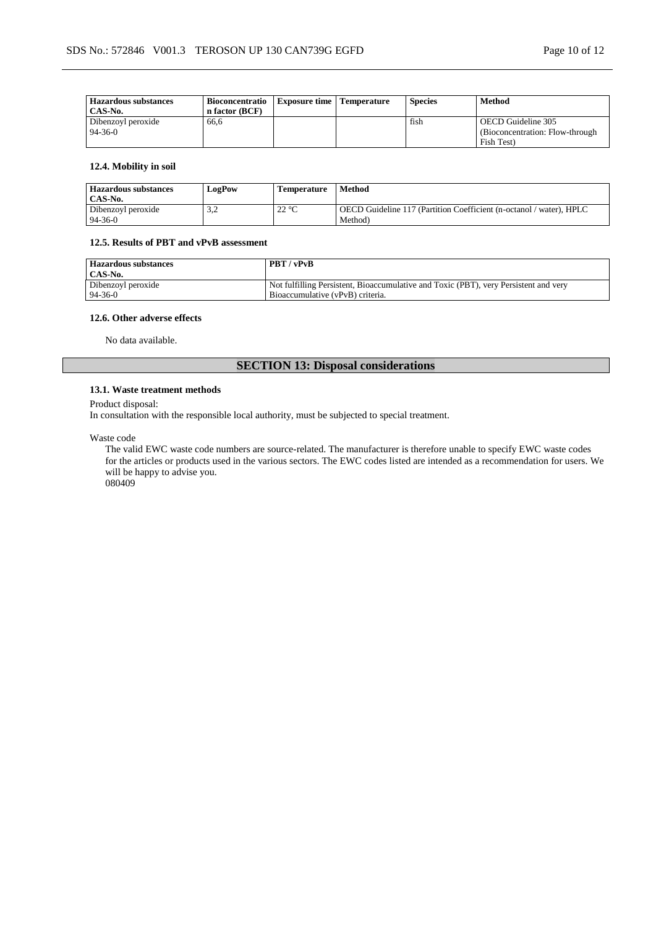| <b>Hazardous substances</b><br>CAS-No. | <b>Bioconcentratio</b><br>n factor (BCF) | Exposure time | <b>Temperature</b> | <b>Species</b> | <b>Method</b>                                          |
|----------------------------------------|------------------------------------------|---------------|--------------------|----------------|--------------------------------------------------------|
| Dibenzoyl peroxide<br>$94 - 36 - 0$    | 66.6                                     |               |                    | fish           | OECD Guideline 305<br>(Bioconcentration: Flow-through) |
|                                        |                                          |               |                    |                | Fish Test)                                             |

### **12.4. Mobility in soil**

| <b>Hazardous substances</b> | LogPow       | <b>Temperature</b> | Method                                                              |
|-----------------------------|--------------|--------------------|---------------------------------------------------------------------|
| CAS-No.                     |              |                    |                                                                     |
| Dibenzoyl peroxide          | . . <u>.</u> | $22^{\circ}$ C     | OECD Guideline 117 (Partition Coefficient (n-octanol / water), HPLC |
| $94-36-0$                   |              |                    | Method)                                                             |

### **12.5. Results of PBT and vPvB assessment**

| <b>Hazardous substances</b><br>CAS-No. | PBT / vPvB                                                                           |
|----------------------------------------|--------------------------------------------------------------------------------------|
| Dibenzoyl peroxide                     | Not fulfilling Persistent, Bioaccumulative and Toxic (PBT), very Persistent and very |
| 94-36-0                                | Bioaccumulative (vPvB) criteria.                                                     |

#### **12.6. Other adverse effects**

No data available.

# **SECTION 13: Disposal considerations**

#### **13.1. Waste treatment methods**

Product disposal:

In consultation with the responsible local authority, must be subjected to special treatment.

Waste code

The valid EWC waste code numbers are source-related. The manufacturer is therefore unable to specify EWC waste codes for the articles or products used in the various sectors. The EWC codes listed are intended as a recommendation for users. We will be happy to advise you. 080409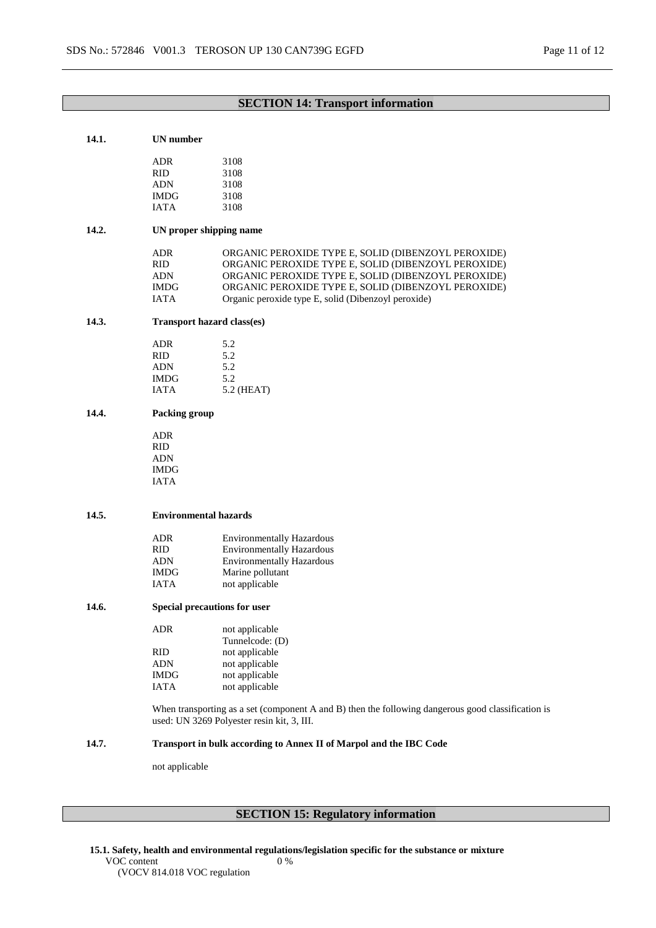# **SECTION 14: Transport information**

#### **14.1. UN number**

| ADR<br><b>RID</b><br><b>ADN</b> | 3108<br>3108<br>3108 |
|---------------------------------|----------------------|
| <b>IMDG</b>                     | 3108                 |
| <b>IATA</b>                     | 3108                 |

### **14.2. UN proper shipping name**

| ADR        | ORGANIC PEROXIDE TYPE E, SOLID (DIBENZOYL PEROXIDE) |
|------------|-----------------------------------------------------|
| RID        | ORGANIC PEROXIDE TYPE E. SOLID (DIBENZOYL PEROXIDE) |
| <b>ADN</b> | ORGANIC PEROXIDE TYPE E, SOLID (DIBENZOYL PEROXIDE) |
| IMDG.      | ORGANIC PEROXIDE TYPE E, SOLID (DIBENZOYL PEROXIDE) |
| IATA       | Organic peroxide type E, solid (Dibenzoyl peroxide) |

### **14.3. Transport hazard class(es)**

| 5.2          |
|--------------|
| 5.2          |
| 5.2          |
| 5.2          |
| $5.2$ (HEAT) |
|              |

### **14.4. Packing group**

ADR RID ADN IMDG IATA

### **14.5. Environmental hazards**

| <b>Environmentally Hazardous</b> |
|----------------------------------|
| <b>Environmentally Hazardous</b> |
| <b>Environmentally Hazardous</b> |
| Marine pollutant                 |
| not applicable                   |
|                                  |

### **14.6. Special precautions for user**

| ADR         | not applicable  |
|-------------|-----------------|
|             | Tunnelcode: (D) |
| RID         | not applicable  |
| ADN         | not applicable  |
| <b>IMDG</b> | not applicable  |
| <b>IATA</b> | not applicable  |

When transporting as a set (component A and B) then the following dangerous good classification is used: UN 3269 Polyester resin kit, 3, III.

# **14.7. Transport in bulk according to Annex II of Marpol and the IBC Code**

0 %

not applicable

# **SECTION 15: Regulatory information**

**15.1. Safety, health and environmental regulations/legislation specific for the substance or mixture**

VOC content